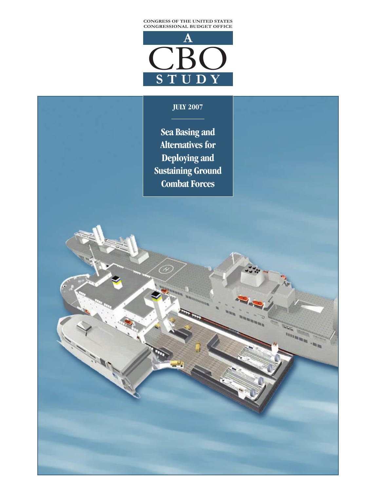



#### **JULY 2007**

**Sea Basing and Alternatives for Deploying and Sustaining Ground Combat Forces** 

no. <sup>ann</sup>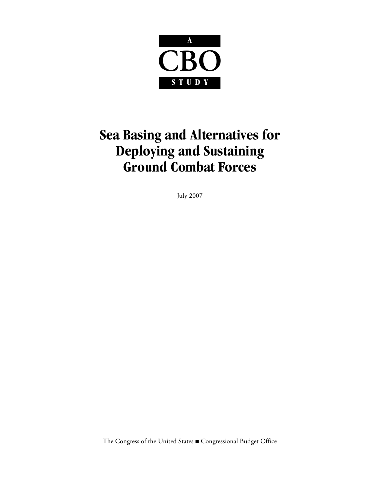

## **Sea Basing and Alternatives for Deploying and Sustaining Ground Combat Forces**

July 2007

The Congress of the United States Gongressional Budget Office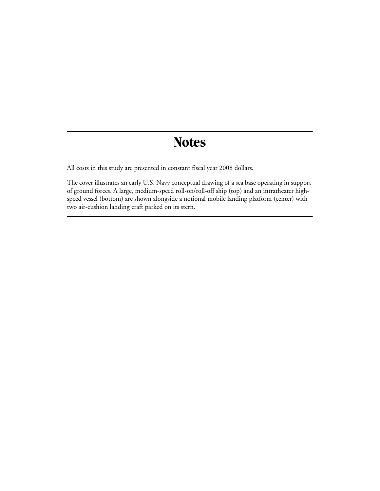## **Notes**

All costs in this study are presented in constant fiscal year 2008 dollars.

The cover illustrates an early U.S. Navy conceptual drawing of a sea base operating in support of ground forces. A large, medium-speed roll-on/roll-off ship (top) and an intratheater highspeed vessel (bottom) are shown alongside a notional mobile landing platform (center) with two air-cushion landing craft parked on its stern.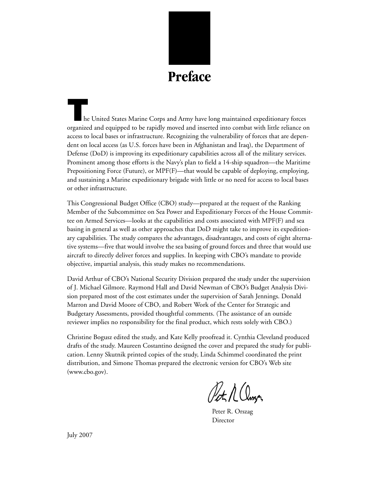

**T**he United States Marine Corps and Army have long maintained expeditionary forces organized and equipped to be rapidly moved and inserted into combat with little reliance on access to local bases or infrastructure. Recognizing the vulnerability of forces that are dependent on local access (as U.S. forces have been in Afghanistan and Iraq), the Department of Defense (DoD) is improving its expeditionary capabilities across all of the military services. Prominent among those efforts is the Navy's plan to field a 14-ship squadron—the Maritime Prepositioning Force (Future), or MPF(F)—that would be capable of deploying, employing, and sustaining a Marine expeditionary brigade with little or no need for access to local bases or other infrastructure.

This Congressional Budget Office (CBO) study—prepared at the request of the Ranking Member of the Subcommittee on Sea Power and Expeditionary Forces of the House Committee on Armed Services—looks at the capabilities and costs associated with MPF(F) and sea basing in general as well as other approaches that DoD might take to improve its expeditionary capabilities. The study compares the advantages, disadvantages, and costs of eight alternative systems—five that would involve the sea basing of ground forces and three that would use aircraft to directly deliver forces and supplies. In keeping with CBO's mandate to provide objective, impartial analysis, this study makes no recommendations.

David Arthur of CBO's National Security Division prepared the study under the supervision of J. Michael Gilmore. Raymond Hall and David Newman of CBO's Budget Analysis Division prepared most of the cost estimates under the supervision of Sarah Jennings. Donald Marron and David Moore of CBO, and Robert Work of the Center for Strategic and Budgetary Assessments, provided thoughtful comments. (The assistance of an outside reviewer implies no responsibility for the final product, which rests solely with CBO.)

Christine Bogusz edited the study, and Kate Kelly proofread it. Cynthia Cleveland produced drafts of the study. Maureen Costantino designed the cover and prepared the study for publication. Lenny Skutnik printed copies of the study, Linda Schimmel coordinated the print distribution, and Simone Thomas prepared the electronic version for CBO's Web site (www.cbo.gov).

Pet A Clinger

Peter R. Orszag Director

July 2007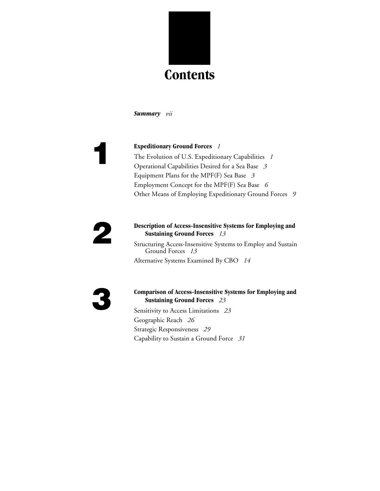

*[Summary](#page-8-0)**vii*

**[1](#page-16-0) [Expeditionary Ground Forces](#page-16-1)** *<sup>1</sup>* [The Evolution of U.S. Expeditionary Capabilities](#page-16-2) *1* [Operational Capabilities Desired for a Sea Base](#page-18-0) *3* [Equipment Plans for the MPF\(F\) Sea Base](#page-18-1) *3* [Employment Concept for the MPF\(F\) Sea Base](#page-21-0) *6* [Other Means of Employing Expeditionary Ground Forces](#page-24-0) *9*

#### **[2](#page-28-0) [Description of Access-Insensitive Systems for Employing and](#page-28-1)  [Sustaining Ground Forces](#page-28-1)** *13*

[Structuring Access-Insensitive Systems to Employ and Sustain](#page-28-2)  [Ground Forces](#page-28-2) *13* [Alternative Systems Examined By CBO](#page-29-0) *14*

#### **[3](#page-38-0) [Comparison of Access-Insensitive Systems for Employing and](#page-38-1) [Sustaining Ground Forces](#page-38-1)** *23*

[Sensitivity to Access Limitations](#page-38-2) *23* [Geographic Reach](#page-41-0) *26* Strategic Responsiveness *29* [Capability to Sustain a Ground Force](#page-46-0) *31*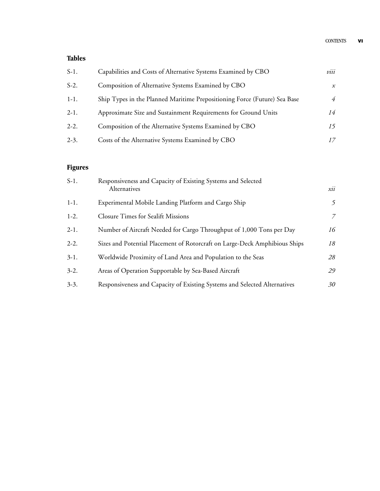#### **Tables**

| $S-1$ . | Capabilities and Costs of Alternative Systems Examined by CBO             | viii           |
|---------|---------------------------------------------------------------------------|----------------|
| $S-2$ . | Composition of Alternative Systems Examined by CBO                        | $\mathcal{X}$  |
| $1-1.$  | Ship Types in the Planned Maritime Prepositioning Force (Future) Sea Base | $\overline{4}$ |
| $2-1.$  | Approximate Size and Sustainment Requirements for Ground Units            | 14             |
| $2-2.$  | Composition of the Alternative Systems Examined by CBO                    | 15             |
| $2-3.$  | Costs of the Alternative Systems Examined by CBO                          |                |

#### **Figures**

| $S-1$ . | Responsiveness and Capacity of Existing Systems and Selected<br>Alternatives | xii |
|---------|------------------------------------------------------------------------------|-----|
| $1-1.$  | Experimental Mobile Landing Platform and Cargo Ship                          | 5   |
| $1-2.$  | <b>Closure Times for Sealift Missions</b>                                    | 7   |
| $2-1.$  | Number of Aircraft Needed for Cargo Throughput of 1,000 Tons per Day         | 16  |
| $2-2.$  | Sizes and Potential Placement of Rotorcraft on Large-Deck Amphibious Ships   | 18  |
| $3-1.$  | Worldwide Proximity of Land Area and Population to the Seas                  | 28  |
| $3-2.$  | Areas of Operation Supportable by Sea-Based Aircraft                         | 29  |
| $3-3.$  | Responsiveness and Capacity of Existing Systems and Selected Alternatives    | 30  |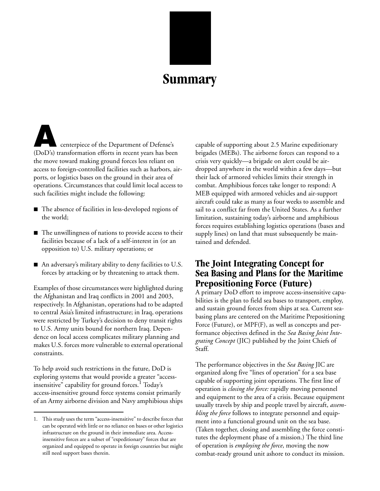

## **Summary**

<span id="page-8-0"></span>centerpiece of the Department of Defense's (DoD's) transformation efforts in recent years has been the move toward making ground forces less reliant on access to foreign-controlled facilities such as harbors, airports, or logistics bases on the ground in their area of operations. Circumstances that could limit local access to such facilities might include the following:

- $\blacksquare$  The absence of facilities in less-developed regions of the world;
- $\blacksquare$  The unwillingness of nations to provide access to their facilities because of a lack of a self-interest in (or an opposition to) U.S. military operations; or
- An adversary's military ability to deny facilities to U.S. forces by attacking or by threatening to attack them.

Examples of those circumstances were highlighted during the Afghanistan and Iraq conflicts in 2001 and 2003, respectively. In Afghanistan, operations had to be adapted to central Asia's limited infrastructure; in Iraq, operations were restricted by Turkey's decision to deny transit rights to U.S. Army units bound for northern Iraq. Dependence on local access complicates military planning and makes U.S. forces more vulnerable to external operational constraints.

To help avoid such restrictions in the future, DoD is exploring systems that would provide a greater "accessinsensitive" capability for ground forces.<sup>1</sup> Today's access-insensitive ground force systems consist primarily of an Army airborne division and Navy amphibious ships capable of supporting about 2.5 Marine expeditionary brigades (MEBs). The airborne forces can respond to a crisis very quickly—a brigade on alert could be airdropped anywhere in the world within a few days—but their lack of armored vehicles limits their strength in combat. Amphibious forces take longer to respond: A MEB equipped with armored vehicles and air-support aircraft could take as many as four weeks to assemble and sail to a conflict far from the United States. As a further limitation, sustaining today's airborne and amphibious forces requires establishing logistics operations (bases and supply lines) on land that must subsequently be maintained and defended.

### **The Joint Integrating Concept for Sea Basing and Plans for the Maritime Prepositioning Force (Future)**

A primary DoD effort to improve access-insensitive capabilities is the plan to field sea bases to transport, employ, and sustain ground forces from ships at sea. Current seabasing plans are centered on the Maritime Prepositioning Force (Future), or MPF(F), as well as concepts and performance objectives defined in the *Sea Basing Joint Integrating Concept* (JIC) published by the Joint Chiefs of Staff.

The performance objectives in the *Sea Basing* JIC are organized along five "lines of operation" for a sea base capable of supporting joint operations. The first line of operation is *closing the force:* rapidly moving personnel and equipment to the area of a crisis. Because equipment usually travels by ship and people travel by aircraft, *assembling the force* follows to integrate personnel and equipment into a functional ground unit on the sea base. (Taken together, closing and assembling the force constitutes the deployment phase of a mission.) The third line of operation is *employing the force*, moving the now combat-ready ground unit ashore to conduct its mission.

<sup>1.</sup> This study uses the term "access-insensitive" to describe forces that can be operated with little or no reliance on bases or other logistics infrastructure on the ground in their immediate area. Accessinsensitive forces are a subset of "expeditionary" forces that are organized and equipped to operate in foreign countries but might still need support bases therein.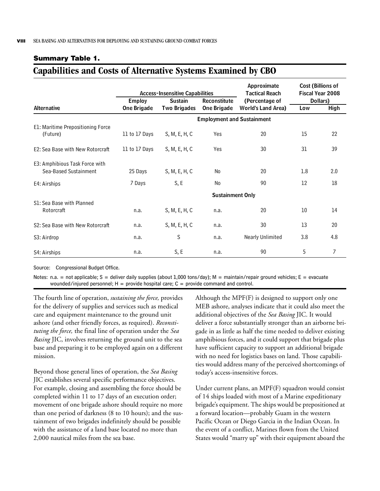#### <span id="page-9-0"></span>**Summary Table 1.**

## **Capabilities and Costs of Alternative Systems Examined by CBO**

|                                                         |                                 | <b>Access-Insensitive Capabilities</b> |                                   | Approximate<br><b>Tactical Reach</b> | <b>Cost (Billions of</b><br><b>Fiscal Year 2008</b> |             |
|---------------------------------------------------------|---------------------------------|----------------------------------------|-----------------------------------|--------------------------------------|-----------------------------------------------------|-------------|
|                                                         | <b>Employ</b><br><b>Sustain</b> |                                        | Reconstitute                      | (Percentage of                       | Dollars)                                            |             |
| <b>Alternative</b>                                      | <b>One Brigade</b>              | <b>Two Brigades</b>                    | <b>One Brigade</b>                | <b>World's Land Area)</b>            | Low                                                 | <b>High</b> |
|                                                         |                                 |                                        | <b>Employment and Sustainment</b> |                                      |                                                     |             |
| E1: Maritime Prepositioning Force<br>(Future)           | 11 to 17 Days                   | S, M, E, H, C                          | Yes                               | 20                                   | 15                                                  | 22          |
| E2: Sea Base with New Rotorcraft                        | 11 to 17 Days                   | S, M, E, H, C                          | Yes                               | 30                                   | 31                                                  | 39          |
| E3: Amphibious Task Force with<br>Sea-Based Sustainment | 25 Days                         | S, M, E, H, C                          | <b>No</b>                         | 20                                   | 1.8                                                 | 2.0         |
| E4: Airships                                            | 7 Days                          | S, E                                   | No                                | 90                                   | 12                                                  | 18          |
|                                                         |                                 |                                        | <b>Sustainment Only</b>           |                                      |                                                     |             |
| S1: Sea Base with Planned<br>Rotorcraft                 | n.a.                            | S, M, E, H, C                          | n.a.                              | 20                                   | 10                                                  | 14          |
| S2: Sea Base with New Rotorcraft                        | n.a.                            | S, M, E, H, C                          | n.a.                              | 30                                   | 13                                                  | 20          |
| S3: Airdrop                                             | n.a.                            | S                                      | n.a.                              | Nearly Unlimited                     | 3.8                                                 | 4.8         |
| S4: Airships                                            | n.a.                            | S, E                                   | n.a.                              | 90                                   | 5                                                   | 7           |

Source: Congressional Budget Office.

Notes: n.a. = not applicable; S = deliver daily supplies (about 1,000 tons/day); M = maintain/repair ground vehicles; E = evacuate wounded/injured personnel;  $H =$  provide hospital care;  $C =$  provide command and control.

The fourth line of operation, *sustaining the force,* provides for the delivery of supplies and services such as medical care and equipment maintenance to the ground unit ashore (and other friendly forces, as required). *Reconstituting the force,* the final line of operation under the *Sea Basing* JIC, involves returning the ground unit to the sea base and preparing it to be employed again on a different mission.

Beyond those general lines of operation, the *Sea Basing* JIC establishes several specific performance objectives. For example, closing and assembling the force should be completed within 11 to 17 days of an execution order; movement of one brigade ashore should require no more than one period of darkness (8 to 10 hours); and the sustainment of two brigades indefinitely should be possible with the assistance of a land base located no more than 2,000 nautical miles from the sea base.

Although the MPF(F) is designed to support only one MEB ashore, analyses indicate that it could also meet the additional objectives of the *Sea Basing* JIC. It would deliver a force substantially stronger than an airborne brigade in as little as half the time needed to deliver existing amphibious forces, and it could support that brigade plus have sufficient capacity to support an additional brigade with no need for logistics bases on land. Those capabilities would address many of the perceived shortcomings of today's access-insensitive forces.

Under current plans, an MPF(F) squadron would consist of 14 ships loaded with most of a Marine expeditionary brigade's equipment. The ships would be prepositioned at a forward location—probably Guam in the western Pacific Ocean or Diego Garcia in the Indian Ocean. In the event of a conflict, Marines flown from the United States would "marry up" with their equipment aboard the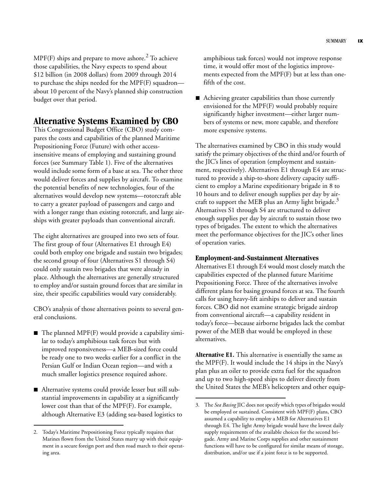$MPF(F)$  ships and prepare to move ashore.<sup>2</sup> To achieve those capabilities, the Navy expects to spend about \$12 billion (in 2008 dollars) from 2009 through 2014 to purchase the ships needed for the MPF(F) squadron about 10 percent of the Navy's planned ship construction budget over that period.

#### **Alternative Systems Examined by CBO**

This Congressional Budget Office (CBO) study compares the costs and capabilities of the planned Maritime Prepositioning Force (Future) with other accessinsensitive means of employing and sustaining ground forces (see [Summary Table 1\)](#page-9-0). Five of the alternatives would include some form of a base at sea. The other three would deliver forces and supplies by aircraft. To examine the potential benefits of new technologies, four of the alternatives would develop new systems—rotorcraft able to carry a greater payload of passengers and cargo and with a longer range than existing rotorcraft, and large airships with greater payloads than conventional aircraft.

The eight alternatives are grouped into two sets of four. The first group of four (Alternatives E1 through E4) could both employ one brigade and sustain two brigades; the second group of four (Alternatives S1 through S4) could only sustain two brigades that were already in place. Although the alternatives are generally structured to employ and/or sustain ground forces that are similar in size, their specific capabilities would vary considerably.

CBO's analysis of those alternatives points to several general conclusions.

- $\blacksquare$  The planned MPF(F) would provide a capability similar to today's amphibious task forces but with improved responsiveness—a MEB-sized force could be ready one to two weeks earlier for a conflict in the Persian Gulf or Indian Ocean region—and with a much smaller logistics presence required ashore.
- Alternative systems could provide lesser but still substantial improvements in capability at a significantly lower cost than that of the MPF(F). For example, although Alternative E3 (adding sea-based logistics to

amphibious task forces) would not improve response time, it would offer most of the logistics improvements expected from the MPF(F) but at less than onefifth of the cost.

 $\blacksquare$  Achieving greater capabilities than those currently envisioned for the MPF(F) would probably require significantly higher investment—either larger numbers of systems or new, more capable, and therefore more expensive systems.

The alternatives examined by CBO in this study would satisfy the primary objectives of the third and/or fourth of the JIC's lines of operation (employment and sustainment, respectively). Alternatives E1 through E4 are structured to provide a ship-to-shore delivery capacity sufficient to employ a Marine expeditionary brigade in 8 to 10 hours and to deliver enough supplies per day by aircraft to support the MEB plus an Army light brigade.<sup>3</sup> Alternatives S1 through S4 are structured to deliver enough supplies per day by aircraft to sustain those two types of brigades. The extent to which the alternatives meet the performance objectives for the JIC's other lines of operation varies.

#### **Employment-and-Sustainment Alternatives**

Alternatives E1 through E4 would most closely match the capabilities expected of the planned future Maritime Prepositioning Force. Three of the alternatives involve different plans for basing ground forces at sea. The fourth calls for using heavy-lift airships to deliver and sustain forces. CBO did not examine strategic brigade airdrop from conventional aircraft—a capability resident in today's force—because airborne brigades lack the combat power of the MEB that would be employed in these alternatives.

**Alternative E1.** This alternative is essentially the same as the MPF(F). It would include the 14 ships in the Navy's plan plus an oiler to provide extra fuel for the squadron and up to two high-speed ships to deliver directly from the United States the MEB's helicopters and other equip-

<sup>2.</sup> Today's Maritime Prepositioning Force typically requires that Marines flown from the United States marry up with their equipment in a secure foreign port and then road march to their operating area.

<sup>3.</sup> The *Sea Basing* JIC does not specify which types of brigades would be employed or sustained. Consistent with MPF(F) plans, CBO assumed a capability to employ a MEB for Alternatives E1 through E4. The light Army brigade would have the lowest daily supply requirements of the available choices for the second brigade. Army and Marine Corps supplies and other sustainment functions will have to be configured for similar means of storage, distribution, and/or use if a joint force is to be supported.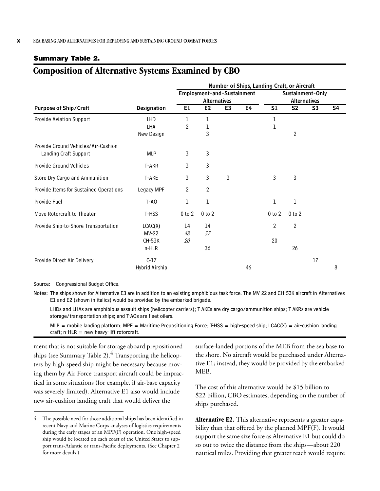#### <span id="page-11-0"></span>**Summary Table 2.**

## **Composition of Alternative Systems Examined by CBO**

|                                        | Number of Ships, Landing Craft, or Aircraft |                |                            |                |    |                     |                |                |    |  |
|----------------------------------------|---------------------------------------------|----------------|----------------------------|----------------|----|---------------------|----------------|----------------|----|--|
|                                        |                                             |                | Employment-and-Sustainment |                |    | Sustainment-Only    |                |                |    |  |
|                                        |                                             |                | Alternatives               |                |    | <b>Alternatives</b> |                |                |    |  |
| <b>Purpose of Ship/Craft</b>           | <b>Designation</b>                          | E1             | E <sub>2</sub>             | E <sub>3</sub> | E4 | S1                  | S <sub>2</sub> | S <sub>3</sub> | S4 |  |
| <b>Provide Aviation Support</b>        | <b>LHD</b>                                  | 1              | 1                          |                |    | 1                   |                |                |    |  |
|                                        | LHA                                         | $\overline{2}$ | 1                          |                |    | 1                   |                |                |    |  |
|                                        | New Design                                  |                | 3                          |                |    |                     | $\overline{2}$ |                |    |  |
| Provide Ground Vehicles/Air-Cushion    |                                             |                |                            |                |    |                     |                |                |    |  |
| Landing Craft Support                  | <b>MLP</b>                                  | 3              | 3                          |                |    |                     |                |                |    |  |
| <b>Provide Ground Vehicles</b>         | T-AKR                                       | 3              | 3                          |                |    |                     |                |                |    |  |
| Store Dry Cargo and Ammunition         | T-AKE                                       | 3              | 3                          | 3              |    | 3                   | 3              |                |    |  |
| Provide Items for Sustained Operations | Legacy MPF                                  | $\overline{2}$ | $\overline{2}$             |                |    |                     |                |                |    |  |
| Provide Fuel                           | $T-AO$                                      | 1              | 1                          |                |    | 1                   | 1              |                |    |  |
| Move Rotorcraft to Theater             | T-HSS                                       | $0$ to $2$     | $0$ to $2$                 |                |    | $0$ to $2$          | $0$ to $2$     |                |    |  |
| Provide Ship-to-Shore Transportation   | LCAC(X)                                     | 14             | 14                         |                |    | $\overline{2}$      | $\overline{2}$ |                |    |  |
|                                        | $MV-22$                                     | 48             | 57                         |                |    |                     |                |                |    |  |
|                                        | <b>CH-53K</b>                               | 20             |                            |                |    | 20                  |                |                |    |  |
|                                        | n-HLR                                       |                | 36                         |                |    |                     | 26             |                |    |  |
| Provide Direct Air Delivery            | $C-17$                                      |                |                            |                |    |                     |                | 17             |    |  |
|                                        | Hybrid Airship                              |                |                            |                | 46 |                     |                |                | 8  |  |

Source: Congressional Budget Office.

Notes: The ships shown for Alternative E3 are in addition to an existing amphibious task force. The MV-22 and CH-53K aircraft in Alternatives E1 and E2 (shown in italics) would be provided by the embarked brigade.

LHDs and LHAs are amphibious assault ships (helicopter carriers); T-AKEs are dry cargo/ammunition ships; T-AKRs are vehicle storage/transportation ships; and T-AOs are fleet oilers.

 $MLP$  = mobile landing platform; MPF = Maritime Prepositioning Force; T-HSS = high-speed ship; LCAC(X) = air-cushion landing craft;  $n$ -HLR = new heavy-lift rotorcraft.

ment that is not suitable for storage aboard prepositioned ships (see [Summary Table 2\)](#page-11-0). $^4$  Transporting the helicopters by high-speed ship might be necessary because moving them by Air Force transport aircraft could be impractical in some situations (for example, if air-base capacity was severely limited). Alternative E1 also would include new air-cushion landing craft that would deliver the

surface-landed portions of the MEB from the sea base to the shore. No aircraft would be purchased under Alternative E1; instead, they would be provided by the embarked MEB.

The cost of this alternative would be \$15 billion to \$22 billion, CBO estimates, depending on the number of ships purchased.

**Alternative E2.** This alternative represents a greater capability than that offered by the planned MPF(F). It would support the same size force as Alternative E1 but could do so out to twice the distance from the ships—about 220 nautical miles. Providing that greater reach would require

<sup>4.</sup> The possible need for those additional ships has been identified in recent Navy and Marine Corps analyses of logistics requirements during the early stages of an MPF(F) operation. One high-speed ship would be located on each coast of the United States to support trans-Atlantic or trans-Pacific deployments. (See [Chapter 2](#page-28-3)  for more details.)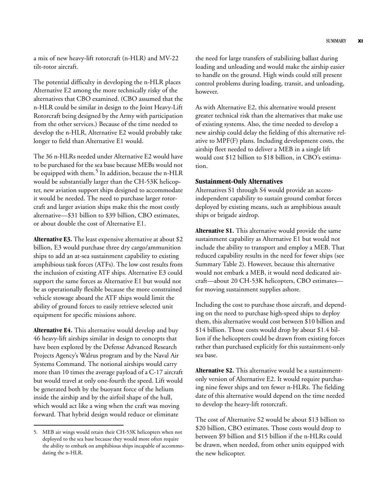a mix of new heavy-lift rotorcraft (n-HLR) and MV-22 tilt-rotor aircraft.

The potential difficulty in developing the n-HLR places Alternative E2 among the more technically risky of the alternatives that CBO examined. (CBO assumed that the n-HLR could be similar in design to the Joint Heavy-Lift Rotorcraft being designed by the Army with participation from the other services.) Because of the time needed to develop the n-HLR, Alternative E2 would probably take longer to field than Alternative E1 would.

The 36 n-HLRs needed under Alternative E2 would have to be purchased for the sea base because MEBs would not be equipped with them.<sup>5</sup> In addition, because the n-HLR would be substantially larger than the CH-53K helicopter, new aviation support ships designed to accommodate it would be needed. The need to purchase larger rotorcraft and larger aviation ships make this the most costly alternative—\$31 billion to \$39 billion, CBO estimates, or about double the cost of Alternative E1.

**Alternative E3.** The least expensive alternative at about \$2 billion, E3 would purchase three dry cargo/ammunition ships to add an at-sea sustainment capability to existing amphibious task forces (ATFs). The low cost results from the inclusion of existing ATF ships. Alternative E3 could support the same forces as Alternative E1 but would not be as operationally flexible because the more constrained vehicle stowage aboard the ATF ships would limit the ability of ground forces to easily retrieve selected unit equipment for specific missions ashore.

**Alternative E4.** This alternative would develop and buy 46 heavy-lift airships similar in design to concepts that have been explored by the Defense Advanced Research Projects Agency's Walrus program and by the Naval Air Systems Command. The notional airships would carry more than 10 times the average payload of a C-17 aircraft but would travel at only one-fourth the speed. Lift would be generated both by the buoyant force of the helium inside the airship and by the airfoil shape of the hull, which would act like a wing when the craft was moving forward. That hybrid design would reduce or eliminate

the need for large transfers of stabilizing ballast during loading and unloading and would make the airship easier to handle on the ground. High winds could still present control problems during loading, transit, and unloading, however.

As with Alternative E2, this alternative would present greater technical risk than the alternatives that make use of existing systems. Also, the time needed to develop a new airship could delay the fielding of this alternative relative to MPF(F) plans. Including development costs, the airship fleet needed to deliver a MEB in a single lift would cost \$12 billion to \$18 billion, in CBO's estimation.

#### **Sustainment-Only Alternatives**

Alternatives S1 through S4 would provide an accessindependent capability to sustain ground combat forces deployed by existing means, such as amphibious assault ships or brigade airdrop.

**Alternative S1.** This alternative would provide the same sustainment capability as Alternative E1 but would not include the ability to transport and employ a MEB. That reduced capability results in the need for fewer ships (see [Summary Table 2](#page-11-0)). However, because this alternative would not embark a MEB, it would need dedicated aircraft—about 20 CH-53K helicopters, CBO estimates for moving sustainment supplies ashore.

Including the cost to purchase those aircraft, and depending on the need to purchase high-speed ships to deploy them, this alternative would cost between \$10 billion and \$14 billion. Those costs would drop by about \$1.4 billion if the helicopters could be drawn from existing forces rather than purchased explicitly for this sustainment-only sea base.

**Alternative S2.** This alternative would be a sustainmentonly version of Alternative E2. It would require purchasing nine fewer ships and ten fewer n-HLRs. The fielding date of this alternative would depend on the time needed to develop the heavy-lift rotorcraft.

The cost of Alternative S2 would be about \$13 billion to \$20 billion, CBO estimates. Those costs would drop to between \$9 billion and \$15 billion if the n-HLRs could be drawn, when needed, from other units equipped with the new helicopter.

<sup>5.</sup> MEB air wings would retain their CH-53K helicopters when not deployed to the sea base because they would more often require the ability to embark on amphibious ships incapable of accommodating the n-HLR.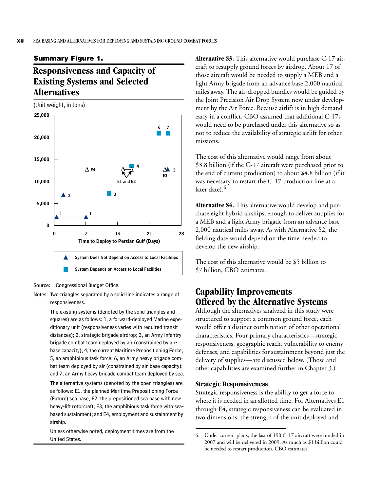#### <span id="page-13-0"></span>**Summary Figure 1.**

## <span id="page-13-1"></span>**Responsiveness and Capacity of Existing Systems and Selected Alternatives**

(Unit weight, in tons)



Source: Congressional Budget Office.

The existing systems (denoted by the solid triangles and squares) are as follows: 1, a forward-deployed Marine expeditionary unit (responsiveness varies with required transit distances); 2, strategic brigade airdrop; 3, an Army infantry brigade combat team deployed by air (constrained by airbase capacity); 4, the current Maritime Prepositioning Force; 5, an amphibious task force; 6, an Army heavy brigade combat team deployed by air (constrained by air-base capacity); and 7, an Army heavy brigade combat team deployed by sea.

The alternative systems (denoted by the open triangles) are as follows: E1, the planned Maritime Prepositioning Force (Future) sea base; E2, the prepositioned sea base with new heavy-lift rotorcraft; E3, the amphibious task force with seabased sustainment; and E4, employment and sustainment by airship.

Unless otherwise noted, deployment times are from the United States.

**Alternative S3.** This alternative would purchase C-17 aircraft to resupply ground forces by airdrop. About 17 of those aircraft would be needed to supply a MEB and a light Army brigade from an advance base 2,000 nautical miles away. The air-dropped bundles would be guided by the Joint Precision Air Drop System now under development by the Air Force. Because airlift is in high demand early in a conflict, CBO assumed that additional C-17s would need to be purchased under this alternative so as not to reduce the availability of strategic airlift for other missions.

The cost of this alternative would range from about \$3.8 billion (if the C-17 aircraft were purchased prior to the end of current production) to about \$4.8 billion (if it was necessary to restart the C-17 production line at a later date).<sup>6</sup>

**Alternative S4.** This alternative would develop and purchase eight hybrid airships, enough to deliver supplies for a MEB and a light Army brigade from an advance base 2,000 nautical miles away. As with Alternative S2, the fielding date would depend on the time needed to develop the new airship.

The cost of this alternative would be \$5 billion to \$7 billion, CBO estimates.

### **Capability Improvements Offered by the Alternative Systems**

Although the alternatives analyzed in this study were structured to support a common ground force, each would offer a distinct combination of other operational characteristics. Four primary characteristics—strategic responsiveness, geographic reach, vulnerability to enemy defenses, and capabilities for sustainment beyond just the delivery of supplies—are discussed below. (Those and other capabilities are examined further in [Chapter 3.](#page-38-3))

#### **Strategic Responsiveness**

Strategic responsiveness is the ability to get a force to where it is needed in an allotted time. For Alternatives E1 through E4, strategic responsiveness can be evaluated in two dimensions: the strength of the unit deployed and

Notes: Two triangles separated by a solid line indicates a range of responsiveness.

<sup>6.</sup> Under current plans, the last of 190 C-17 aircraft were funded in 2007 and will be delivered in 2009. As much as \$1 billion could be needed to restart production, CBO estimates.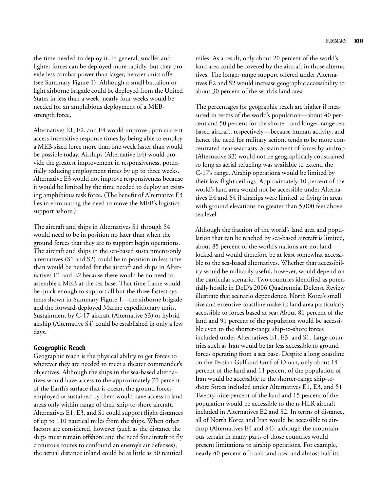the time needed to deploy it. In general, smaller and lighter forces can be deployed more rapidly, but they provide less combat power than larger, heavier units offer (see [Summary Figure 1](#page-13-0)). Although a small battalion or light airborne brigade could be deployed from the United States in less than a week, nearly four weeks would be needed for an amphibious deployment of a MEBstrength force.

Alternatives E1, E2, and E4 would improve upon current access-insensitive response times by being able to employ a MEB-sized force more than one week faster than would be possible today. Airships (Alternative E4) would provide the greatest improvement in responsiveness, potentially reducing employment times by up to three weeks. Alternative E3 would not improve responsiveness because it would be limited by the time needed to deploy an existing amphibious task force. (The benefit of Alternative E3 lies in eliminating the need to move the MEB's logistics support ashore.)

The aircraft and ships in Alternatives S1 through S4 would need to be in position no later than when the ground forces that they are to support begin operations. The aircraft and ships in the sea-based sustainment-only alternatives (S1 and S2) could be in position in less time than would be needed for the aircraft and ships in Alternatives E1 and E2 because there would be no need to assemble a MEB at the sea base. That time frame would be quick enough to support all but the three fastest systems shown in [Summary Figure 1—](#page-13-0)the airborne brigade and the forward-deployed Marine expeditionary units. Sustainment by C-17 aircraft (Alternative S3) or hybrid airship (Alternative S4) could be established in only a few days.

#### **Geographic Reach**

Geographic reach is the physical ability to get forces to wherever they are needed to meet a theater commander's objectives. Although the ships in the sea-based alternatives would have access to the approximately 70 percent of the Earth's surface that is ocean, the ground forces employed or sustained by them would have access to land areas only within range of their ship-to-shore aircraft. Alternatives E1, E3, and S1 could support flight distances of up to 110 nautical miles from the ships. When other factors are considered, however (such as the distance the ships must remain offshore and the need for aircraft to fly circuitous routes to confound an enemy's air defenses), the actual distance inland could be as little as 50 nautical

miles. As a result, only about 20 percent of the world's land area could be covered by the aircraft in those alternatives. The longer-range support offered under Alternatives E2 and S2 would increase geographic accessibility to about 30 percent of the world's land area.

The percentages for geographic reach are higher if measured in terms of the world's population—about 40 percent and 50 percent for the shorter- and longer-range seabased aircraft, respectively—because human activity, and hence the need for military action, tends to be more concentrated near seacoasts. Sustainment of forces by airdrop (Alternative S3) would not be geographically constrained so long as aerial refueling was available to extend the C-17's range. Airship operations would be limited by their low flight ceilings. Approximately 10 percent of the world's land area would not be accessible under Alternatives E4 and S4 if airships were limited to flying in areas with ground elevations no greater than 5,000 feet above sea level.

Although the fraction of the world's land area and population that can be reached by sea-based aircraft is limited, about 85 percent of the world's nations are not landlocked and would therefore be at least somewhat accessible to the sea-based alternatives. Whether that accessibility would be militarily useful, however, would depend on the particular scenario. Two countries identified as potentially hostile in DoD's 2006 Quadrennial Defense Review illustrate that scenario dependence. North Korea's small size and extensive coastline make its land area particularly accessible to forces based at sea: About 81 percent of the land and 91 percent of the population would be accessible even to the shorter-range ship-to-shore forces included under Alternatives E1, E3, and S1. Large countries such as Iran would be far less accessible to ground forces operating from a sea base. Despite a long coastline on the Persian Gulf and Gulf of Oman, only about 14 percent of the land and 11 percent of the population of Iran would be accessible to the shorter-range ship-toshore forces included under Alternatives E1, E3, and S1. Twenty-nine percent of the land and 15 percent of the population would be accessible to the n-HLR aircraft included in Alternatives E2 and S2. In terms of distance, all of North Korea and Iran would be accessible to airdrop (Alternatives E4 and S4), although the mountainous terrain in many parts of those countries would present limitations to airship operations. For example, nearly 40 percent of Iran's land area and almost half its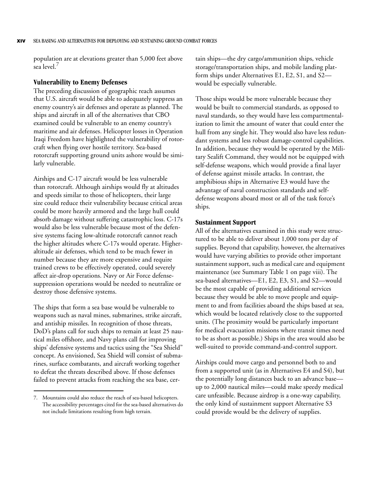population are at elevations greater than 5,000 feet above sea level.

#### **Vulnerability to Enemy Defenses**

The preceding discussion of geographic reach assumes that U.S. aircraft would be able to adequately suppress an enemy country's air defenses and operate as planned. The ships and aircraft in all of the alternatives that CBO examined could be vulnerable to an enemy country's maritime and air defenses. Helicopter losses in Operation Iraqi Freedom have highlighted the vulnerability of rotorcraft when flying over hostile territory. Sea-based rotorcraft supporting ground units ashore would be similarly vulnerable.

Airships and C-17 aircraft would be less vulnerable than rotorcraft. Although airships would fly at altitudes and speeds similar to those of helicopters, their large size could reduce their vulnerability because critical areas could be more heavily armored and the large hull could absorb damage without suffering catastrophic loss. C-17s would also be less vulnerable because most of the defensive systems facing low-altitude rotorcraft cannot reach the higher altitudes where C-17s would operate. Higheraltitude air defenses, which tend to be much fewer in number because they are more expensive and require trained crews to be effectively operated, could severely affect air-drop operations. Navy or Air Force defensesuppression operations would be needed to neutralize or destroy those defensive systems.

The ships that form a sea base would be vulnerable to weapons such as naval mines, submarines, strike aircraft, and antiship missiles. In recognition of those threats, DoD's plans call for such ships to remain at least 25 nautical miles offshore, and Navy plans call for improving ships' defensive systems and tactics using the "Sea Shield" concept. As envisioned, Sea Shield will consist of submarines, surface combatants, and aircraft working together to defeat the threats described above. If those defenses failed to prevent attacks from reaching the sea base, certain ships—the dry cargo/ammunition ships, vehicle storage/transportation ships, and mobile landing platform ships under Alternatives E1, E2, S1, and S2 would be especially vulnerable.

Those ships would be more vulnerable because they would be built to commercial standards, as opposed to naval standards, so they would have less compartmentalization to limit the amount of water that could enter the hull from any single hit. They would also have less redundant systems and less robust damage-control capabilities. In addition, because they would be operated by the Military Sealift Command, they would not be equipped with self-defense weapons, which would provide a final layer of defense against missile attacks. In contrast, the amphibious ships in Alternative E3 would have the advantage of naval construction standards and selfdefense weapons aboard most or all of the task force's ships.

#### **Sustainment Support**

All of the alternatives examined in this study were structured to be able to deliver about 1,000 tons per day of supplies. Beyond that capability, however, the alternatives would have varying abilities to provide other important sustainment support, such as medical care and equipment maintenance (see [Summary Table 1 on page viii](#page-9-0)). The sea-based alternatives—E1, E2, E3, S1, and S2—would be the most capable of providing additional services because they would be able to move people and equipment to and from facilities aboard the ships based at sea, which would be located relatively close to the supported units. (The proximity would be particularly important for medical evacuation missions where transit times need to be as short as possible.) Ships in the area would also be well-suited to provide command-and-control support.

Airships could move cargo and personnel both to and from a supported unit (as in Alternatives E4 and S4), but the potentially long distances back to an advance base up to 2,000 nautical miles—could make speedy medical care unfeasible. Because airdrop is a one-way capability, the only kind of sustainment support Alternative S3 could provide would be the delivery of supplies.

<sup>7.</sup> Mountains could also reduce the reach of sea-based helicopters. The accessibility percentages cited for the sea-based alternatives do not include limitations resulting from high terrain.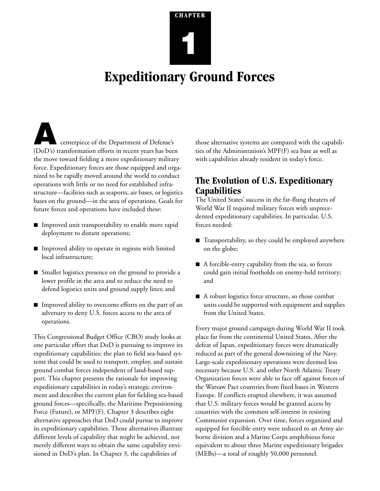# <span id="page-16-3"></span>**CHAPTER 1**

## <span id="page-16-0"></span>**Expeditionary Ground Forces**

<span id="page-16-1"></span>**A** centerpiece of the Department of Defense's (DoD's) transformation efforts in recent years has been the move toward fielding a more expeditionary military force. Expeditionary forces are those equipped and organized to be rapidly moved around the world to conduct operations with little or no need for established infrastructure—facilities such as seaports, air bases, or logistics bases on the ground—in the area of operations. Goals for future forces and operations have included these:

- **I** Improved unit transportability to enable more rapid deployment to distant operations;
- $\blacksquare$  Improved ability to operate in regions with limited local infrastructure;
- **B** Smaller logistics presence on the ground to provide a lower profile in the area and to reduce the need to defend logistics units and ground supply lines; and
- Improved ability to overcome efforts on the part of an adversary to deny U.S. forces access to the area of operations.

This Congressional Budget Office (CBO) study looks at one particular effort that DoD is pursuing to improve its expeditionary capabilities: the plan to field sea-based systems that could be used to transport, employ, and sustain ground combat forces independent of land-based support. This chapter presents the rationale for improving expeditionary capabilities in today's strategic environment and describes the current plan for fielding sea-based ground forces—specifically, the Maritime Prepositioning Force (Future), or MPF(F). [Chapter 3](#page-38-3) describes eight alternative approaches that DoD could pursue to improve its expeditionary capabilities. Those alternatives illustrate different levels of capability that might be achieved, not merely different ways to obtain the same capability envisioned in DoD's plan. In [Chapter 3,](#page-38-3) the capabilities of

those alternative systems are compared with the capabilities of the Administration's MPF(F) sea base as well as with capabilities already resident in today's force.

## <span id="page-16-2"></span>**The Evolution of U.S. Expeditionary Capabilities**

The United States' success in the far-flung theaters of World War II required military forces with unprecedented expeditionary capabilities. In particular, U.S. forces needed:

- $\blacksquare$  Transportability, so they could be employed anywhere on the globe;
- $\blacksquare$  A forcible-entry capability from the sea, so forces could gain initial footholds on enemy-held territory; and
- A robust logistics force structure, so those combat units could be supported with equipment and supplies from the United States.

Every major ground campaign during World War II took place far from the continental United States. After the defeat of Japan, expeditionary forces were dramatically reduced as part of the general downsizing of the Navy. Large-scale expeditionary operations were deemed less necessary because U.S. and other North Atlantic Treaty Organization forces were able to face off against forces of the Warsaw Pact countries from fixed bases in Western Europe. If conflicts erupted elsewhere, it was assumed that U.S. military forces would be granted access by countries with the common self-interest in resisting Communist expansion. Over time, forces organized and equipped for forcible entry were reduced to an Army airborne division and a Marine Corps amphibious force equivalent to about three Marine expeditionary brigades (MEBs)—a total of roughly 50,000 personnel.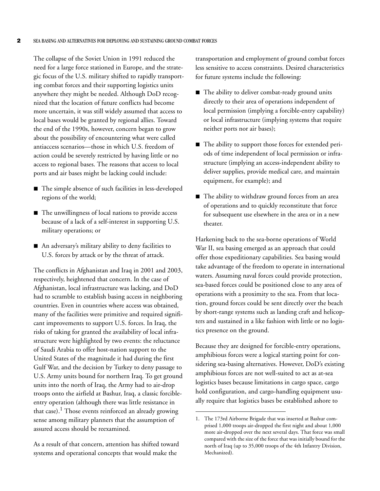The collapse of the Soviet Union in 1991 reduced the need for a large force stationed in Europe, and the strategic focus of the U.S. military shifted to rapidly transporting combat forces and their supporting logistics units anywhere they might be needed. Although DoD recognized that the location of future conflicts had become more uncertain, it was still widely assumed that access to local bases would be granted by regional allies. Toward the end of the 1990s, however, concern began to grow about the possibility of encountering what were called antiaccess scenarios—those in which U.S. freedom of action could be severely restricted by having little or no access to regional bases. The reasons that access to local ports and air bases might be lacking could include:

- $\blacksquare$  The simple absence of such facilities in less-developed regions of the world;
- $\blacksquare$  The unwillingness of local nations to provide access because of a lack of a self-interest in supporting U.S. military operations; or
- An adversary's military ability to deny facilities to U.S. forces by attack or by the threat of attack.

The conflicts in Afghanistan and Iraq in 2001 and 2003, respectively, heightened that concern. In the case of Afghanistan, local infrastructure was lacking, and DoD had to scramble to establish basing access in neighboring countries. Even in countries where access was obtained, many of the facilities were primitive and required significant improvements to support U.S. forces. In Iraq, the risks of taking for granted the availability of local infrastructure were highlighted by two events: the reluctance of Saudi Arabia to offer host-nation support to the United States of the magnitude it had during the first Gulf War, and the decision by Turkey to deny passage to U.S. Army units bound for northern Iraq. To get ground units into the north of Iraq, the Army had to air-drop troops onto the airfield at Bashur, Iraq, a classic forcibleentry operation (although there was little resistance in that case).<sup>1</sup> Those events reinforced an already growing sense among military planners that the assumption of assured access should be reexamined.

As a result of that concern, attention has shifted toward systems and operational concepts that would make the

transportation and employment of ground combat forces less sensitive to access constraints. Desired characteristics for future systems include the following:

- $\blacksquare$  The ability to deliver combat-ready ground units directly to their area of operations independent of local permission (implying a forcible-entry capability) or local infrastructure (implying systems that require neither ports nor air bases);
- The ability to support those forces for extended periods of time independent of local permission or infrastructure (implying an access-independent ability to deliver supplies, provide medical care, and maintain equipment, for example); and
- $\blacksquare$  The ability to withdraw ground forces from an area of operations and to quickly reconstitute that force for subsequent use elsewhere in the area or in a new theater.

Harkening back to the sea-borne operations of World War II, sea basing emerged as an approach that could offer those expeditionary capabilities. Sea basing would take advantage of the freedom to operate in international waters. Assuming naval forces could provide protection, sea-based forces could be positioned close to any area of operations with a proximity to the sea. From that location, ground forces could be sent directly over the beach by short-range systems such as landing craft and helicopters and sustained in a like fashion with little or no logistics presence on the ground.

Because they are designed for forcible-entry operations, amphibious forces were a logical starting point for considering sea-basing alternatives. However, DoD's existing amphibious forces are not well-suited to act as at-sea logistics bases because limitations in cargo space, cargo hold configuration, and cargo-handling equipment usually require that logistics bases be established ashore to

<sup>1.</sup> The 173rd Airborne Brigade that was inserted at Bashur comprised 1,000 troops air-dropped the first night and about 1,000 more air-dropped over the next several days. That force was small compared with the size of the force that was initially bound for the north of Iraq (up to 35,000 troops of the 4th Infantry Division, Mechanized).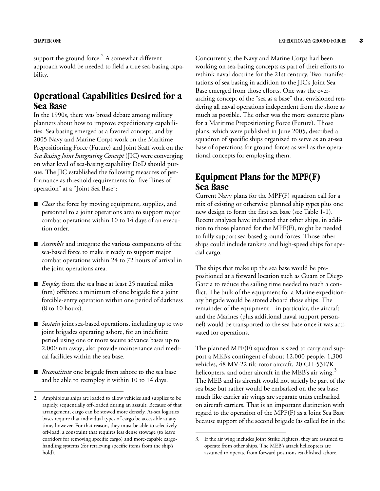support the ground force. $^2$  A somewhat different approach would be needed to field a true sea-basing capability.

## <span id="page-18-0"></span>**Operational Capabilities Desired for a Sea Base**

In the 1990s, there was broad debate among military planners about how to improve expeditionary capabilities. Sea basing emerged as a favored concept, and by 2005 Navy and Marine Corps work on the Maritime Prepositioning Force (Future) and Joint Staff work on the *Sea Basing Joint Integrating Concept* (JIC) were converging on what level of sea-basing capability DoD should pursue. The JIC established the following measures of performance as threshold requirements for five "lines of operation" at a "Joint Sea Base":

- Glose the force by moving equipment, supplies, and personnel to a joint operations area to support major combat operations within 10 to 14 days of an execution order.
- **B** *Assemble* and integrate the various components of the sea-based force to make it ready to support major combat operations within 24 to 72 hours of arrival in the joint operations area.
- **B** *Employ* from the sea base at least 25 nautical miles (nm) offshore a minimum of one brigade for a joint forcible-entry operation within one period of darkness (8 to 10 hours).
- *Sustain* joint sea-based operations, including up to two joint brigades operating ashore, for an indefinite period using one or more secure advance bases up to 2,000 nm away; also provide maintenance and medical facilities within the sea base.
- **B** *Reconstitute* one brigade from ashore to the sea base and be able to reemploy it within 10 to 14 days.

Concurrently, the Navy and Marine Corps had been working on sea-basing concepts as part of their efforts to rethink naval doctrine for the 21st century. Two manifestations of sea basing in addition to the JIC's Joint Sea Base emerged from those efforts. One was the overarching concept of the "sea as a base" that envisioned rendering all naval operations independent from the shore as much as possible. The other was the more concrete plans for a Maritime Prepositioning Force (Future). Those plans, which were published in June 2005, described a squadron of specific ships organized to serve as an at-sea base of operations for ground forces as well as the operational concepts for employing them.

## <span id="page-18-1"></span>**Equipment Plans for the MPF(F) Sea Base**

Current Navy plans for the MPF(F) squadron call for a mix of existing or otherwise planned ship types plus one new design to form the first sea base (see [Table 1-1\)](#page-19-0). Recent analyses have indicated that other ships, in addition to those planned for the MPF(F), might be needed to fully support sea-based ground forces. Those other ships could include tankers and high-speed ships for special cargo.

The ships that make up the sea base would be prepositioned at a forward location such as Guam or Diego Garcia to reduce the sailing time needed to reach a conflict. The bulk of the equipment for a Marine expeditionary brigade would be stored aboard those ships. The remainder of the equipment—in particular, the aircraft and the Marines (plus additional naval support personnel) would be transported to the sea base once it was activated for operations.

The planned MPF(F) squadron is sized to carry and support a MEB's contingent of about 12,000 people, 1,300 vehicles, 48 MV-22 tilt-rotor aircraft, 20 CH-53E/K helicopters, and other aircraft in the MEB's air wing.<sup>3</sup> The MEB and its aircraft would not strictly be part of the sea base but rather would be embarked on the sea base much like carrier air wings are separate units embarked on aircraft carriers. That is an important distinction with regard to the operation of the MPF(F) as a Joint Sea Base because support of the second brigade (as called for in the

<sup>2.</sup> Amphibious ships are loaded to allow vehicles and supplies to be rapidly, sequentially off-loaded during an assault. Because of that arrangement, cargo can be stowed more densely. At-sea logistics bases require that individual types of cargo be accessible at any time, however. For that reason, they must be able to selectively off-load, a constraint that requires less dense stowage (to leave corridors for removing specific cargo) and more-capable cargohandling systems (for retrieving specific items from the ship's hold).

<sup>3.</sup> If the air wing includes Joint Strike Fighters, they are assumed to operate from other ships. The MEB's attack helicopters are assumed to operate from forward positions established ashore.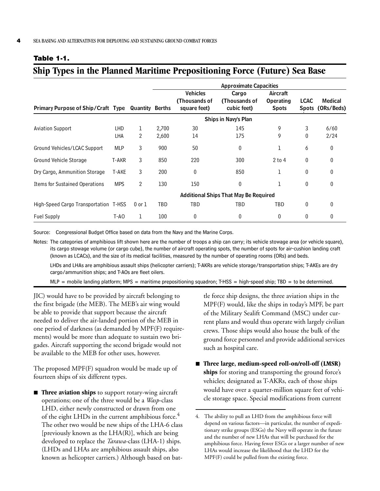#### <span id="page-19-0"></span>**Table 1-1.**

## **Ship Types in the Planned Maritime Prepositioning Force (Future) Sea Base**

|                                           |            | <b>Approximate Capacities</b> |       |                                                  |                                              |                                              |                             |                       |  |
|-------------------------------------------|------------|-------------------------------|-------|--------------------------------------------------|----------------------------------------------|----------------------------------------------|-----------------------------|-----------------------|--|
| <b>Primary Purpose of Ship/Craft Type</b> |            | <b>Quantity Berths</b>        |       | <b>Vehicles</b><br>(Thousands of<br>square feet) | Cargo<br>(Thousands of<br>cubic feet)        | Aircraft<br><b>Operating</b><br><b>Spots</b> | <b>LCAC</b><br><b>Spots</b> | Medical<br>(ORs/Beds) |  |
|                                           |            |                               |       |                                                  | Ships in Navy's Plan                         |                                              |                             |                       |  |
| <b>Aviation Support</b>                   | <b>LHD</b> | 1                             | 2,700 | 30                                               | 145                                          | 9                                            | 3                           | 6/60                  |  |
|                                           | LHA        | 2                             | 2,600 | 14                                               | 175                                          | 9                                            | 0                           | 2/24                  |  |
| Ground Vehicles/LCAC Support              | <b>MLP</b> | 3                             | 900   | 50                                               | 0                                            | 1                                            | 6                           | 0                     |  |
| Ground Vehicle Storage                    | T-AKR      | 3                             | 850   | 220                                              | 300                                          | $2$ to 4                                     | $\theta$                    | $\mathbf{0}$          |  |
| Dry Cargo, Ammunition Storage             | T-AKE      | 3                             | 200   | 0                                                | 850                                          | 1                                            | 0                           | $\Omega$              |  |
| <b>Items for Sustained Operations</b>     | <b>MPS</b> | $\overline{2}$                | 130   | 150                                              | 0                                            | 1                                            | 0                           | 0                     |  |
|                                           |            |                               |       |                                                  | <b>Additional Ships That May Be Required</b> |                                              |                             |                       |  |
| High-Speed Cargo Transportation T-HSS     |            | $0$ or $1$                    | TBD   | TBD                                              | TBD                                          | TBD                                          | 0                           | 0                     |  |
| <b>Fuel Supply</b>                        | T-AO       | 1                             | 100   | 0                                                | 0                                            | $\mathbf{0}$                                 | 0                           | 0                     |  |

Source: Congressional Budget Office based on data from the Navy and the Marine Corps.

Notes: The categories of amphibious lift shown here are the number of troops a ship can carry; its vehicle stowage area (or vehicle square), its cargo stowage volume (or cargo cube), the number of aircraft operating spots, the number of spots for air-cushion landing craft (known as LCACs), and the size of its medical facilities, measured by the number of operating rooms (ORs) and beds. LHDs and LHAs are amphibious assault ships (helicopter carriers); T-AKRs are vehicle storage/transportation ships; T-AKEs are dry

cargo/ammunition ships; and T-AOs are fleet oilers.

 $MLP$  = mobile landing platform; MPS = maritime prepositioning squadron; T-HSS = high-speed ship; TBD = to be determined.

JIC) would have to be provided by aircraft belonging to the first brigade (the MEB). The MEB's air wing would be able to provide that support because the aircraft needed to deliver the air-landed portion of the MEB in one period of darkness (as demanded by MPF(F) requirements) would be more than adequate to sustain two brigades. Aircraft supporting the second brigade would not be available to the MEB for other uses, however.

The proposed MPF(F) squadron would be made up of fourteen ships of six different types.

**Three aviation ships** to support rotary-wing aircraft operations; one of the three would be a *Wasp*-class LHD, either newly constructed or drawn from one of the eight LHDs in the current amphibious force.<sup>4</sup> The other two would be new ships of the LHA-6 class [previously known as the LHA(R)], which are being developed to replace the *Tarawa*-class (LHA-1) ships. (LHDs and LHAs are amphibious assault ships, also known as helicopter carriers.) Although based on bat-

tle force ship designs, the three aviation ships in the MPF(F) would, like the ships in today's MPF, be part of the Military Sealift Command (MSC) under current plans and would thus operate with largely civilian crews. Those ships would also house the bulk of the ground force personnel and provide additional services such as hospital care.

■ Three large, medium-speed roll-on/roll-off (LMSR) **ships** for storing and transporting the ground force's vehicles; designated as T-AKRs, each of those ships would have over a quarter-million square feet of vehicle storage space. Special modifications from current

<sup>4.</sup> The ability to pull an LHD from the amphibious force will depend on various factors—in particular, the number of expeditionary strike groups (ESGs) the Navy will operate in the future and the number of new LHAs that will be purchased for the amphibious force. Having fewer ESGs or a larger number of new LHAs would increase the likelihood that the LHD for the MPF(F) could be pulled from the existing force.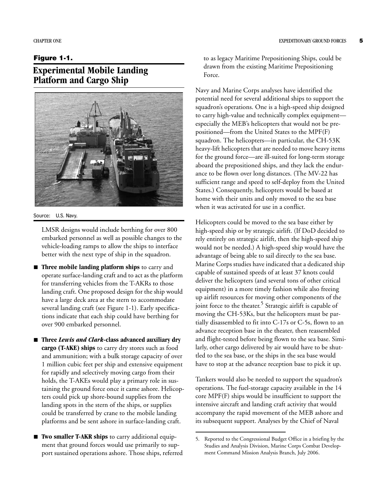#### <span id="page-20-0"></span>**Figure 1-1.**

## <span id="page-20-1"></span>**Experimental Mobile Landing Platform and Cargo Ship**



#### Source: U.S. Navy.

LMSR designs would include berthing for over 800 embarked personnel as well as possible changes to the vehicle-loading ramps to allow the ships to interface better with the next type of ship in the squadron.

- $\blacksquare$  **Three mobile landing platform ships** to carry and operate surface-landing craft and to act as the platform for transferring vehicles from the T-AKRs to those landing craft. One proposed design for the ship would have a large deck area at the stern to accommodate several landing craft (see [Figure 1-1\)](#page-20-0). Early specifications indicate that each ship could have berthing for over 900 embarked personnel.
- Three *Lewis and Clark*-class advanced auxiliary dry **cargo (T-AKE) ships** to carry dry stores such as food and ammunition; with a bulk storage capacity of over 1 million cubic feet per ship and extensive equipment for rapidly and selectively moving cargo from their holds, the T-AKEs would play a primary role in sustaining the ground force once it came ashore. Helicopters could pick up shore-bound supplies from the landing spots in the stern of the ships, or supplies could be transferred by crane to the mobile landing platforms and be sent ashore in surface-landing craft.
- **E** Two smaller T-AKR ships to carry additional equipment that ground forces would use primarily to support sustained operations ashore. Those ships, referred

to as legacy Maritime Prepositioning Ships, could be drawn from the existing Maritime Prepositioning Force.

Navy and Marine Corps analyses have identified the potential need for several additional ships to support the squadron's operations. One is a high-speed ship designed to carry high-value and technically complex equipment especially the MEB's helicopters that would not be prepositioned—from the United States to the MPF(F) squadron. The helicopters—in particular, the CH-53K heavy-lift helicopters that are needed to move heavy items for the ground force—are ill-suited for long-term storage aboard the prepositioned ships, and they lack the endurance to be flown over long distances. (The MV-22 has sufficient range and speed to self-deploy from the United States.) Consequently, helicopters would be based at home with their units and only moved to the sea base when it was activated for use in a conflict.

Helicopters could be moved to the sea base either by high-speed ship or by strategic airlift. (If DoD decided to rely entirely on strategic airlift, then the high-speed ship would not be needed.) A high-speed ship would have the advantage of being able to sail directly to the sea base. Marine Corps studies have indicated that a dedicated ship capable of sustained speeds of at least 37 knots could deliver the helicopters (and several tons of other critical equipment) in a more timely fashion while also freeing up airlift resources for moving other components of the joint force to the theater.<sup>5</sup> Strategic airlift is capable of moving the CH-53Ks, but the helicopters must be partially disassembled to fit into C-17s or C-5s, flown to an advance reception base in the theater, then reassembled and flight-tested before being flown to the sea base. Similarly, other cargo delivered by air would have to be shuttled to the sea base, or the ships in the sea base would have to stop at the advance reception base to pick it up.

Tankers would also be needed to support the squadron's operations. The fuel-storage capacity available in the 14 core MPF(F) ships would be insufficient to support the intensive aircraft and landing craft activity that would accompany the rapid movement of the MEB ashore and its subsequent support. Analyses by the Chief of Naval

<sup>5.</sup> Reported to the Congressional Budget Office in a briefing by the Studies and Analysis Division, Marine Corps Combat Development Command Mission Analysis Branch, July 2006.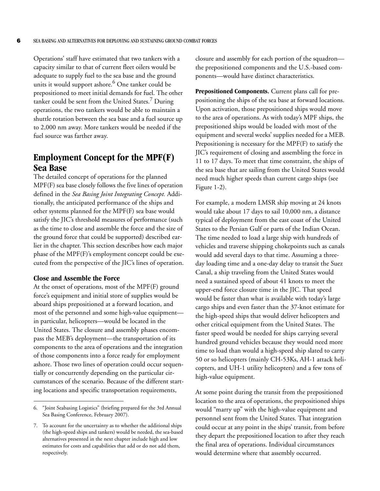Operations' staff have estimated that two tankers with a capacity similar to that of current fleet oilers would be adequate to supply fuel to the sea base and the ground units it would support ashore.<sup>6</sup> One tanker could be prepositioned to meet initial demands for fuel. The other tanker could be sent from the United States.<sup>7</sup> During operations, the two tankers would be able to maintain a shuttle rotation between the sea base and a fuel source up to 2,000 nm away. More tankers would be needed if the fuel source was farther away.

#### <span id="page-21-0"></span>**Employment Concept for the MPF(F) Sea Base**

The detailed concept of operations for the planned MPF(F) sea base closely follows the five lines of operation defined in the *Sea Basing Joint Integrating Concept.* Additionally, the anticipated performance of the ships and other systems planned for the MPF(F) sea base would satisfy the JIC's threshold measures of performance (such as the time to close and assemble the force and the size of the ground force that could be supported) described earlier in the chapter. This section describes how each major phase of the MPF(F)'s employment concept could be executed from the perspective of the JIC's lines of operation.

#### **Close and Assemble the Force**

At the onset of operations, most of the MPF(F) ground force's equipment and initial store of supplies would be aboard ships prepositioned at a forward location, and most of the personnel and some high-value equipment in particular, helicopters—would be located in the United States. The closure and assembly phases encompass the MEB's deployment—the transportation of its components to the area of operations and the integration of those components into a force ready for employment ashore. Those two lines of operation could occur sequentially or concurrently depending on the particular circumstances of the scenario. Because of the different starting locations and specific transportation requirements,

closure and assembly for each portion of the squadron the prepositioned components and the U.S.-based components—would have distinct characteristics.

**Prepositioned Components.** Current plans call for prepositioning the ships of the sea base at forward locations. Upon activation, those prepositioned ships would move to the area of operations. As with today's MPF ships, the prepositioned ships would be loaded with most of the equipment and several weeks' supplies needed for a MEB. Prepositioning is necessary for the MPF(F) to satisfy the JIC's requirement of closing and assembling the force in 11 to 17 days. To meet that time constraint, the ships of the sea base that are sailing from the United States would need much higher speeds than current cargo ships (see [Figure 1-2](#page-22-0)).

For example, a modern LMSR ship moving at 24 knots would take about 17 days to sail 10,000 nm, a distance typical of deployment from the east coast of the United States to the Persian Gulf or parts of the Indian Ocean. The time needed to load a large ship with hundreds of vehicles and traverse shipping chokepoints such as canals would add several days to that time. Assuming a threeday loading time and a one-day delay to transit the Suez Canal, a ship traveling from the United States would need a sustained speed of about 41 knots to meet the upper-end force closure time in the JIC. That speed would be faster than what is available with today's large cargo ships and even faster than the 37-knot estimate for the high-speed ships that would deliver helicopters and other critical equipment from the United States. The faster speed would be needed for ships carrying several hundred ground vehicles because they would need more time to load than would a high-speed ship slated to carry 50 or so helicopters (mainly CH-53Ks, AH-1 attack helicopters, and UH-1 utility helicopters) and a few tons of high-value equipment.

At some point during the transit from the prepositioned location to the area of operations, the prepositioned ships would "marry up" with the high-value equipment and personnel sent from the United States. That integration could occur at any point in the ships' transit, from before they depart the prepositioned location to after they reach the final area of operations. Individual circumstances would determine where that assembly occurred.

<sup>6. &</sup>quot;Joint Seabasing Logistics" (briefing prepared for the 3rd Annual Sea Basing Conference, February 2007).

<sup>7.</sup> To account for the uncertainty as to whether the additional ships (the high-speed ships and tankers) would be needed, the sea-based alternatives presented in the next chapter include high and low estimates for costs and capabilities that add or do not add them, respectively.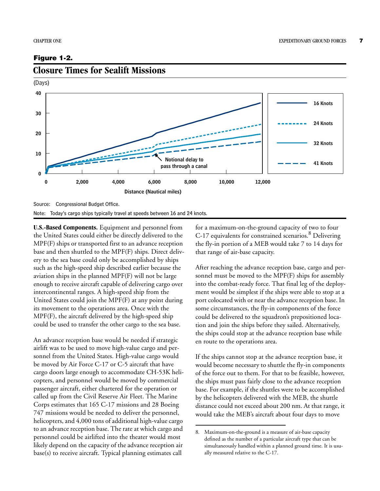#### <span id="page-22-0"></span>**Figure 1-2.**



#### <span id="page-22-1"></span>**Closure Times for Sealift Missions**

Source: Congressional Budget Office.

Note: Today's cargo ships typically travel at speeds between 16 and 24 knots.

**U.S.-Based Components.** Equipment and personnel from the United States could either be directly delivered to the MPF(F) ships or transported first to an advance reception base and then shuttled to the MPF(F) ships. Direct delivery to the sea base could only be accomplished by ships such as the high-speed ship described earlier because the aviation ships in the planned MPF(F) will not be large enough to receive aircraft capable of delivering cargo over intercontinental ranges. A high-speed ship from the United States could join the MPF(F) at any point during its movement to the operations area. Once with the MPF(F), the aircraft delivered by the high-speed ship could be used to transfer the other cargo to the sea base.

An advance reception base would be needed if strategic airlift was to be used to move high-value cargo and personnel from the United States. High-value cargo would be moved by Air Force C-17 or C-5 aircraft that have cargo doors large enough to accommodate CH-53K helicopters, and personnel would be moved by commercial passenger aircraft, either chartered for the operation or called up from the Civil Reserve Air Fleet. The Marine Corps estimates that 165 C-17 missions and 28 Boeing 747 missions would be needed to deliver the personnel, helicopters, and 4,000 tons of additional high-value cargo to an advance reception base. The rate at which cargo and personnel could be airlifted into the theater would most likely depend on the capacity of the advance reception air base(s) to receive aircraft. Typical planning estimates call

for a maximum-on-the-ground capacity of two to four C-17 equivalents for constrained scenarios.<sup>8</sup> Delivering the fly-in portion of a MEB would take 7 to 14 days for that range of air-base capacity.

After reaching the advance reception base, cargo and personnel must be moved to the MPF(F) ships for assembly into the combat-ready force. That final leg of the deployment would be simplest if the ships were able to stop at a port colocated with or near the advance reception base. In some circumstances, the fly-in components of the force could be delivered to the squadron's prepositioned location and join the ships before they sailed. Alternatively, the ships could stop at the advance reception base while en route to the operations area.

If the ships cannot stop at the advance reception base, it would become necessary to shuttle the fly-in components of the force out to them. For that to be feasible, however, the ships must pass fairly close to the advance reception base. For example, if the shuttles were to be accomplished by the helicopters delivered with the MEB, the shuttle distance could not exceed about 200 nm. At that range, it would take the MEB's aircraft about four days to move

<sup>8.</sup> Maximum-on-the-ground is a measure of air-base capacity defined as the number of a particular aircraft type that can be simultaneously handled within a planned ground time. It is usually measured relative to the C-17.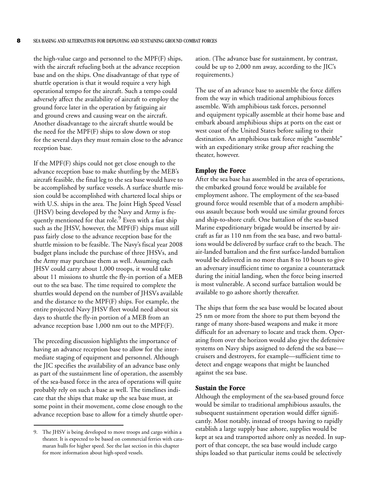the high-value cargo and personnel to the MPF(F) ships, with the aircraft refueling both at the advance reception base and on the ships. One disadvantage of that type of shuttle operation is that it would require a very high operational tempo for the aircraft. Such a tempo could adversely affect the availability of aircraft to employ the ground force later in the operation by fatiguing air and ground crews and causing wear on the aircraft. Another disadvantage to the aircraft shuttle would be the need for the MPF(F) ships to slow down or stop for the several days they must remain close to the advance reception base.

If the MPF(F) ships could not get close enough to the advance reception base to make shuttling by the MEB's aircraft feasible, the final leg to the sea base would have to be accomplished by surface vessels. A surface shuttle mission could be accomplished with chartered local ships or with U.S. ships in the area. The Joint High Speed Vessel (JHSV) being developed by the Navy and Army is frequently mentioned for that role.<sup>9</sup> Even with a fast ship such as the JHSV, however, the MPF(F) ships must still pass fairly close to the advance reception base for the shuttle mission to be feasible. The Navy's fiscal year 2008 budget plans include the purchase of three JHSVs, and the Army may purchase them as well. Assuming each JHSV could carry about 1,000 troops, it would take about 11 missions to shuttle the fly-in portion of a MEB out to the sea base. The time required to complete the shuttles would depend on the number of JHSVs available and the distance to the MPF(F) ships. For example, the entire projected Navy JHSV fleet would need about six days to shuttle the fly-in portion of a MEB from an advance reception base 1,000 nm out to the MPF(F).

The preceding discussion highlights the importance of having an advance reception base to allow for the intermediate staging of equipment and personnel. Although the JIC specifies the availability of an advance base only as part of the sustainment line of operation, the assembly of the sea-based force in the area of operations will quite probably rely on such a base as well. The timelines indicate that the ships that make up the sea base must, at some point in their movement, come close enough to the advance reception base to allow for a timely shuttle operation. (The advance base for sustainment, by contrast, could be up to 2,000 nm away, according to the JIC's requirements.)

The use of an advance base to assemble the force differs from the way in which traditional amphibious forces assemble. With amphibious task forces, personnel and equipment typically assemble at their home base and embark aboard amphibious ships at ports on the east or west coast of the United States before sailing to their destination. An amphibious task force might "assemble" with an expeditionary strike group after reaching the theater, however.

#### **Employ the Force**

After the sea base has assembled in the area of operations, the embarked ground force would be available for employment ashore. The employment of the sea-based ground force would resemble that of a modern amphibious assault because both would use similar ground forces and ship-to-shore craft. One battalion of the sea-based Marine expeditionary brigade would be inserted by aircraft as far as 110 nm from the sea base, and two battalions would be delivered by surface craft to the beach. The air-landed battalion and the first surface-landed battalion would be delivered in no more than 8 to 10 hours to give an adversary insufficient time to organize a counterattack during the initial landing, when the force being inserted is most vulnerable. A second surface battalion would be available to go ashore shortly thereafter.

The ships that form the sea base would be located about 25 nm or more from the shore to put them beyond the range of many shore-based weapons and make it more difficult for an adversary to locate and track them. Operating from over the horizon would also give the defensive systems on Navy ships assigned to defend the sea base cruisers and destroyers, for example—sufficient time to detect and engage weapons that might be launched against the sea base.

#### **Sustain the Force**

Although the employment of the sea-based ground force would be similar to traditional amphibious assaults, the subsequent sustainment operation would differ significantly. Most notably, instead of troops having to rapidly establish a large supply base ashore, supplies would be kept at sea and transported ashore only as needed. In support of that concept, the sea base would include cargo ships loaded so that particular items could be selectively

<sup>9.</sup> The JHSV is being developed to move troops and cargo within a theater. It is expected to be based on commercial ferries with catamaran hulls for higher speed. See the last section in this chapter for more information about high-speed vessels.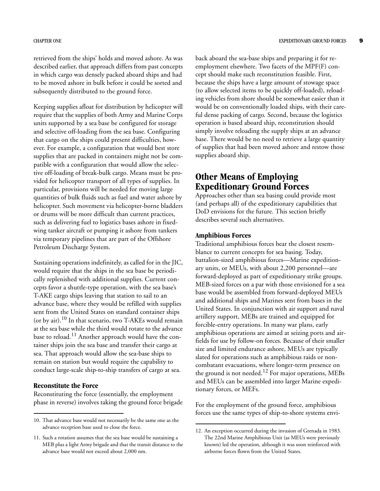retrieved from the ships' holds and moved ashore. As was described earlier, that approach differs from past concepts in which cargo was densely packed aboard ships and had to be moved ashore in bulk before it could be sorted and subsequently distributed to the ground force.

Keeping supplies afloat for distribution by helicopter will require that the supplies of both Army and Marine Corps units supported by a sea base be configured for storage and selective off-loading from the sea base. Configuring that cargo on the ships could present difficulties, however. For example, a configuration that would best store supplies that are packed in containers might not be compatible with a configuration that would allow the selective off-loading of break-bulk cargo. Means must be provided for helicopter transport of all types of supplies. In particular, provisions will be needed for moving large quantities of bulk fluids such as fuel and water ashore by helicopter. Such movement via helicopter-borne bladders or drums will be more difficult than current practices, such as delivering fuel to logistics bases ashore in fixedwing tanker aircraft or pumping it ashore from tankers via temporary pipelines that are part of the Offshore Petroleum Discharge System.

Sustaining operations indefinitely, as called for in the JIC, would require that the ships in the sea base be periodically replenished with additional supplies. Current concepts favor a shuttle-type operation, with the sea base's T-AKE cargo ships leaving that station to sail to an advance base, where they would be refilled with supplies sent from the United States on standard container ships (or by air).<sup>10</sup> In that scenario, two T-AKEs would remain at the sea base while the third would rotate to the advance base to reload.<sup>11</sup> Another approach would have the container ships join the sea base and transfer their cargo at sea. That approach would allow the sea-base ships to remain on station but would require the capability to conduct large-scale ship-to-ship transfers of cargo at sea.

#### **Reconstitute the Force**

Reconstituting the force (essentially, the employment phase in reverse) involves taking the ground force brigade back aboard the sea-base ships and preparing it for reemployment elsewhere. Two facets of the MPF(F) concept should make such reconstitution feasible. First, because the ships have a large amount of stowage space (to allow selected items to be quickly off-loaded), reloading vehicles from shore should be somewhat easier than it would be on conventionally loaded ships, with their careful dense packing of cargo. Second, because the logistics operation is based aboard ship, reconstitution should simply involve reloading the supply ships at an advance base. There would be no need to retrieve a large quantity of supplies that had been moved ashore and restow those supplies aboard ship.

#### <span id="page-24-0"></span>**Other Means of Employing Expeditionary Ground Forces**

Approaches other than sea basing could provide most (and perhaps all) of the expeditionary capabilities that DoD envisions for the future. This section briefly describes several such alternatives.

#### **Amphibious Forces**

Traditional amphibious forces bear the closest resemblance to current concepts for sea basing. Today, battalion-sized amphibious forces—Marine expeditionary units, or MEUs, with about 2,200 personnel—are forward-deployed as part of expeditionary strike groups. MEB-sized forces on a par with those envisioned for a sea base would be assembled from forward-deployed MEUs and additional ships and Marines sent from bases in the United States. In conjunction with air support and naval artillery support, MEBs are trained and equipped for forcible-entry operations. In many war plans, early amphibious operations are aimed at seizing ports and airfields for use by follow-on forces. Because of their smaller size and limited endurance ashore, MEUs are typically slated for operations such as amphibious raids or noncombatant evacuations, where longer-term presence on the ground is not needed.<sup>12</sup> For major operations, MEBs and MEUs can be assembled into larger Marine expeditionary forces, or MEFs.

For the employment of the ground force, amphibious forces use the same types of ship-to-shore systems envi-

<sup>10.</sup> That advance base would not necessarily be the same one as the advance reception base used to close the force.

<sup>11.</sup> Such a rotation assumes that the sea base would be sustaining a MEB plus a light Army brigade and that the transit distance to the advance base would not exceed about 2,000 nm.

<sup>12.</sup> An exception occurred during the invasion of Grenada in 1983. The 22nd Marine Amphibious Unit (as MEUs were previously known) led the operation, although it was soon reinforced with airborne forces flown from the United States.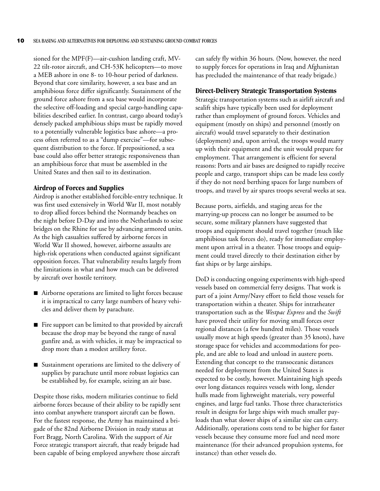sioned for the MPF(F)—air-cushion landing craft, MV-22 tilt-rotor aircraft, and CH-53K helicopters—to move a MEB ashore in one 8- to 10-hour period of darkness. Beyond that core similarity, however, a sea base and an amphibious force differ significantly. Sustainment of the ground force ashore from a sea base would incorporate the selective off-loading and special cargo-handling capabilities described earlier. In contrast, cargo aboard today's densely packed amphibious ships must be rapidly moved to a potentially vulnerable logistics base ashore—a process often referred to as a "dump exercise"—for subsequent distribution to the force. If prepositioned, a sea base could also offer better strategic responsiveness than an amphibious force that must be assembled in the United States and then sail to its destination.

#### **Airdrop of Forces and Supplies**

Airdrop is another established forcible-entry technique. It was first used extensively in World War II, most notably to drop allied forces behind the Normandy beaches on the night before D-Day and into the Netherlands to seize bridges on the Rhine for use by advancing armored units. As the high casualties suffered by airborne forces in World War II showed, however, airborne assaults are high-risk operations when conducted against significant opposition forces. That vulnerability results largely from the limitations in what and how much can be delivered by aircraft over hostile territory.

- B Airborne operations are limited to light forces because it is impractical to carry large numbers of heavy vehicles and deliver them by parachute.
- $\blacksquare$  Fire support can be limited to that provided by aircraft because the drop may be beyond the range of naval gunfire and, as with vehicles, it may be impractical to drop more than a modest artillery force.
- **B** Sustainment operations are limited to the delivery of supplies by parachute until more robust logistics can be established by, for example, seizing an air base.

Despite those risks, modern militaries continue to field airborne forces because of their ability to be rapidly sent into combat anywhere transport aircraft can be flown. For the fastest response, the Army has maintained a brigade of the 82nd Airborne Division in ready status at Fort Bragg, North Carolina. With the support of Air Force strategic transport aircraft, that ready brigade had been capable of being employed anywhere those aircraft can safely fly within 36 hours. (Now, however, the need to supply forces for operations in Iraq and Afghanistan has precluded the maintenance of that ready brigade.)

#### **Direct-Delivery Strategic Transportation Systems**

Strategic transportation systems such as airlift aircraft and sealift ships have typically been used for deployment rather than employment of ground forces. Vehicles and equipment (mostly on ships) and personnel (mostly on aircraft) would travel separately to their destination (deployment) and, upon arrival, the troops would marry up with their equipment and the unit would prepare for employment. That arrangement is efficient for several reasons: Ports and air bases are designed to rapidly receive people and cargo, transport ships can be made less costly if they do not need berthing spaces for large numbers of troops, and travel by air spares troops several weeks at sea.

Because ports, airfields, and staging areas for the marrying-up process can no longer be assumed to be secure, some military planners have suggested that troops and equipment should travel together (much like amphibious task forces do), ready for immediate employment upon arrival in a theater. Those troops and equipment could travel directly to their destination either by fast ships or by large airships.

DoD is conducting ongoing experiments with high-speed vessels based on commercial ferry designs. That work is part of a joint Army/Navy effort to field those vessels for transportation within a theater. Ships for intratheater transportation such as the *Westpac Express* and the *Swift* have proved their utility for moving small forces over regional distances (a few hundred miles)*.* Those vessels usually move at high speeds (greater than 35 knots), have storage space for vehicles and accommodations for people, and are able to load and unload in austere ports. Extending that concept to the transoceanic distances needed for deployment from the United States is expected to be costly, however. Maintaining high speeds over long distances requires vessels with long, slender hulls made from lightweight materials, very powerful engines, and large fuel tanks. Those three characteristics result in designs for large ships with much smaller payloads than what slower ships of a similar size can carry. Additionally, operations costs tend to be higher for faster vessels because they consume more fuel and need more maintenance (for their advanced propulsion systems, for instance) than other vessels do.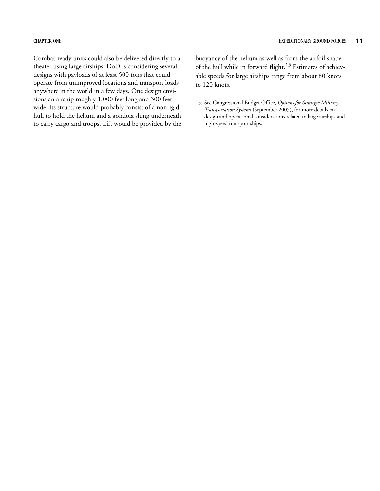Combat-ready units could also be delivered directly to a theater using large airships. DoD is considering several designs with payloads of at least 500 tons that could operate from unimproved locations and transport loads anywhere in the world in a few days. One design envisions an airship roughly 1,000 feet long and 300 feet wide. Its structure would probably consist of a nonrigid hull to hold the helium and a gondola slung underneath to carry cargo and troops. Lift would be provided by the

buoyancy of the helium as well as from the airfoil shape of the hull while in forward flight.<sup>13</sup> Estimates of achievable speeds for large airships range from about 80 knots to 120 knots.

<sup>13.</sup> See Congressional Budget Office, *Options for Strategic Military Transportation Systems* (September 2005), for more details on design and operational considerations related to large airships and high-speed transport ships.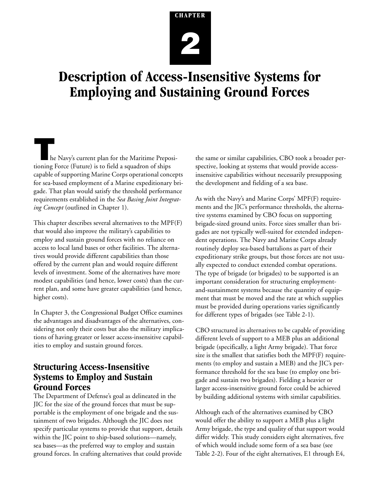# <span id="page-28-3"></span>**CHAPTER 2**

## <span id="page-28-1"></span><span id="page-28-0"></span>**Description of Access-Insensitive Systems for Employing and Sustaining Ground Forces**

**T**he Navy's current plan for the Maritime Prepositioning Force (Future) is to field a squadron of ships capable of supporting Marine Corps operational concepts for sea-based employment of a Marine expeditionary brigade. That plan would satisfy the threshold performance requirements established in the *Sea Basing Joint Integrating Concept* (outlined in [Chapter 1](#page-16-3)).

This chapter describes several alternatives to the MPF(F) that would also improve the military's capabilities to employ and sustain ground forces with no reliance on access to local land bases or other facilities. The alternatives would provide different capabilities than those offered by the current plan and would require different levels of investment. Some of the alternatives have more modest capabilities (and hence, lower costs) than the current plan, and some have greater capabilities (and hence, higher costs).

In [Chapter 3,](#page-38-3) the Congressional Budget Office examines the advantages and disadvantages of the alternatives, considering not only their costs but also the military implications of having greater or lesser access-insensitive capabilities to employ and sustain ground forces.

### <span id="page-28-2"></span>**Structuring Access-Insensitive Systems to Employ and Sustain Ground Forces**

The Department of Defense's goal as delineated in the JIC for the size of the ground forces that must be supportable is the employment of one brigade and the sustainment of two brigades. Although the JIC does not specify particular systems to provide that support, details within the JIC point to ship-based solutions—namely, sea bases—as the preferred way to employ and sustain ground forces. In crafting alternatives that could provide

the same or similar capabilities, CBO took a broader perspective, looking at systems that would provide accessinsensitive capabilities without necessarily presupposing the development and fielding of a sea base.

As with the Navy's and Marine Corps' MPF(F) requirements and the JIC's performance thresholds, the alternative systems examined by CBO focus on supporting brigade-sized ground units. Force sizes smaller than brigades are not typically well-suited for extended independent operations. The Navy and Marine Corps already routinely deploy sea-based battalions as part of their expeditionary strike groups, but those forces are not usually expected to conduct extended combat operations. The type of brigade (or brigades) to be supported is an important consideration for structuring employmentand-sustainment systems because the quantity of equipment that must be moved and the rate at which supplies must be provided during operations varies significantly for different types of brigades (see [Table 2-1\)](#page-29-1).

CBO structured its alternatives to be capable of providing different levels of support to a MEB plus an additional brigade (specifically, a light Army brigade). That force size is the smallest that satisfies both the MPF(F) requirements (to employ and sustain a MEB) and the JIC's performance threshold for the sea base (to employ one brigade and sustain two brigades). Fielding a heavier or larger access-insensitive ground force could be achieved by building additional systems with similar capabilities.

Although each of the alternatives examined by CBO would offer the ability to support a MEB plus a light Army brigade, the type and quality of that support would differ widely. This study considers eight alternatives, five of which would include some form of a sea base (see [Table 2-2](#page-30-0)). Four of the eight alternatives, E1 through E4,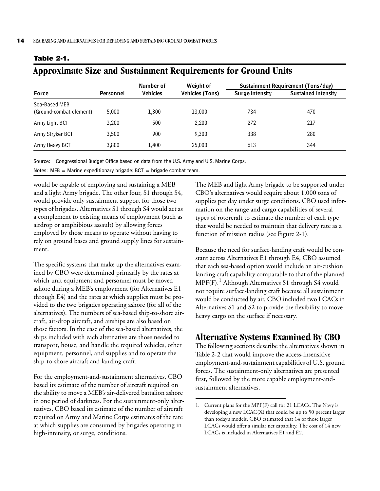|                                          |                  | Number of       | Weight of              |                        | Sustainment Requirement (Tons/day) |
|------------------------------------------|------------------|-----------------|------------------------|------------------------|------------------------------------|
| <b>Force</b>                             | <b>Personnel</b> | <b>Vehicles</b> | <b>Vehicles (Tons)</b> | <b>Surge Intensity</b> | <b>Sustained Intensity</b>         |
| Sea-Based MEB<br>(Ground-combat element) | 5,000            | 1,300           | 13,000                 | 734                    | 470                                |
| Army Light BCT                           | 3,200            | 500             | 2,200                  | 272                    | 217                                |
| Army Stryker BCT                         | 3,500            | 900             | 9,300                  | 338                    | 280                                |
| Army Heavy BCT                           | 3,800            | 1,400           | 25,000                 | 613                    | 344                                |

#### <span id="page-29-1"></span>**Table 2-1.**

#### <span id="page-29-2"></span>**Approximate Size and Sustainment Requirements for Ground Units**

Source: Congressional Budget Office based on data from the U.S. Army and U.S. Marine Corps. Notes: MEB = Marine expeditionary brigade;  $BCT =$  brigade combat team.

would be capable of employing and sustaining a MEB and a light Army brigade. The other four, S1 through S4, would provide only sustainment support for those two types of brigades. Alternatives S1 through S4 would act as a complement to existing means of employment (such as airdrop or amphibious assault) by allowing forces employed by those means to operate without having to rely on ground bases and ground supply lines for sustainment.

The specific systems that make up the alternatives examined by CBO were determined primarily by the rates at which unit equipment and personnel must be moved ashore during a MEB's employment (for Alternatives E1 through E4) and the rates at which supplies must be provided to the two brigades operating ashore (for all of the alternatives). The numbers of sea-based ship-to-shore aircraft, air-drop aircraft, and airships are also based on those factors. In the case of the sea-based alternatives, the ships included with each alternative are those needed to transport, house, and handle the required vehicles, other equipment, personnel, and supplies and to operate the ship-to-shore aircraft and landing craft.

For the employment-and-sustainment alternatives, CBO based its estimate of the number of aircraft required on the ability to move a MEB's air-delivered battalion ashore in one period of darkness. For the sustainment-only alternatives, CBO based its estimate of the number of aircraft required on Army and Marine Corps estimates of the rate at which supplies are consumed by brigades operating in high-intensity, or surge, conditions.

The MEB and light Army brigade to be supported under CBO's alternatives would require about 1,000 tons of supplies per day under surge conditions. CBO used information on the range and cargo capabilities of several types of rotorcraft to estimate the number of each type that would be needed to maintain that delivery rate as a function of mission radius (see [Figure 2-1\)](#page-31-0).

Because the need for surface-landing craft would be constant across Alternatives E1 through E4, CBO assumed that each sea-based option would include an air-cushion landing craft capability comparable to that of the planned MPF(F).<sup>1</sup> Although Alternatives S1 through S4 would not require surface-landing craft because all sustainment would be conducted by air, CBO included two LCACs in Alternatives S1 and S2 to provide the flexibility to move heavy cargo on the surface if necessary.

#### <span id="page-29-0"></span>**Alternative Systems Examined By CBO**

The following sections describe the alternatives shown in [Table 2-2](#page-30-0) that would improve the access-insensitive employment-and-sustainment capabilities of U.S. ground forces. The sustainment-only alternatives are presented first, followed by the more capable employment-andsustainment alternatives.

<sup>1.</sup> Current plans for the MPF(F) call for 21 LCACs. The Navy is developing a new LCAC(X) that could be up to 50 percent larger than today's models. CBO estimated that 14 of those larger LCACs would offer a similar net capability. The cost of 14 new LCACs is included in Alternatives E1 and E2.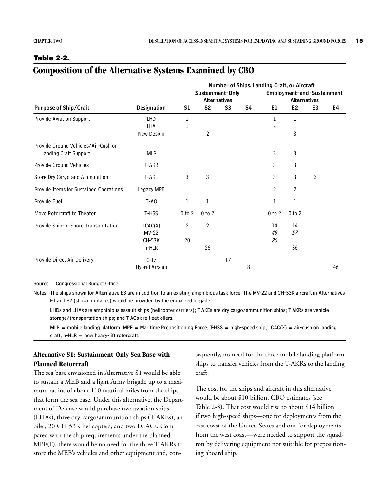#### <span id="page-30-0"></span>**Table 2-2.**

#### **Composition of the Alternative Systems Examined by CBO**

|                                        |                    |                |                     |                | Number of Ships, Landing Craft, or Aircraft |                                                   |                |                |    |  |  |  |
|----------------------------------------|--------------------|----------------|---------------------|----------------|---------------------------------------------|---------------------------------------------------|----------------|----------------|----|--|--|--|
|                                        |                    |                | Sustainment-Only    |                |                                             | Employment-and-Sustainment<br><b>Alternatives</b> |                |                |    |  |  |  |
|                                        |                    |                | <b>Alternatives</b> |                |                                             |                                                   |                |                |    |  |  |  |
| <b>Purpose of Ship/Craft</b>           | <b>Designation</b> | S1             | S <sub>2</sub>      | S <sub>3</sub> | S <sub>4</sub>                              | E1                                                | E <sub>2</sub> | E <sub>3</sub> | E4 |  |  |  |
| Provide Aviation Support               | LHD                | 1              |                     |                |                                             | 1                                                 | 1              |                |    |  |  |  |
|                                        | LHA                | 1              |                     |                |                                             | $\overline{2}$                                    | 1              |                |    |  |  |  |
|                                        | New Design         |                | $\overline{2}$      |                |                                             |                                                   | 3              |                |    |  |  |  |
| Provide Ground Vehicles/Air-Cushion    |                    |                |                     |                |                                             |                                                   |                |                |    |  |  |  |
| Landing Craft Support                  | <b>MLP</b>         |                |                     |                |                                             | 3                                                 | 3              |                |    |  |  |  |
| Provide Ground Vehicles                | T-AKR              |                |                     |                |                                             | 3                                                 | 3              |                |    |  |  |  |
| Store Dry Cargo and Ammunition         | T-AKE              | 3              | 3                   |                |                                             | 3                                                 | 3              | 3              |    |  |  |  |
| Provide Items for Sustained Operations | Legacy MPF         |                |                     |                |                                             | $\overline{2}$                                    | $\overline{2}$ |                |    |  |  |  |
| Provide Fuel                           | T-AO               | 1              | 1                   |                |                                             | 1                                                 | 1              |                |    |  |  |  |
| Move Rotorcraft to Theater             | T-HSS              | $0$ to $2$     | $0$ to $2$          |                |                                             | $0$ to $2$                                        | $0$ to $2$     |                |    |  |  |  |
| Provide Ship-to-Shore Transportation   | LCAC(X)            | $\overline{2}$ | $\overline{2}$      |                |                                             | 14                                                | 14             |                |    |  |  |  |
|                                        | $MV-22$            |                |                     |                |                                             | 48                                                | 57             |                |    |  |  |  |
|                                        | <b>CH-53K</b>      | 20             |                     |                |                                             | 20                                                |                |                |    |  |  |  |
|                                        | n-HLR              |                | 26                  |                |                                             |                                                   | 36             |                |    |  |  |  |
| Provide Direct Air Delivery            | $C-17$             |                |                     | 17             |                                             |                                                   |                |                |    |  |  |  |
|                                        | Hybrid Airship     |                |                     |                | 8                                           |                                                   |                |                | 46 |  |  |  |

Source: Congressional Budget Office.

Notes: The ships shown for Alternative E3 are in addition to an existing amphibious task force. The MV-22 and CH-53K aircraft in Alternatives E1 and E2 (shown in italics) would be provided by the embarked brigade.

LHDs and LHAs are amphibious assault ships (helicopter carriers); T-AKEs are dry cargo/ammunition ships; T-AKRs are vehicle storage/transportation ships; and T-AOs are fleet oilers.

 $MLP$  = mobile landing platform; MPF = Maritime Prepositioning Force; T-HSS = high-speed ship; LCAC(X) = air-cushion landing craft; n-HLR = new heavy-lift rotorcraft.

#### **Alternative S1: Sustainment-Only Sea Base with Planned Rotorcraft**

The sea base envisioned in Alternative S1 would be able to sustain a MEB and a light Army brigade up to a maximum radius of about 110 nautical miles from the ships that form the sea base. Under this alternative, the Department of Defense would purchase two aviation ships (LHAs), three dry-cargo/ammunition ships (T-AKEs), an oiler, 20 CH-53K helicopters, and two LCACs. Compared with the ship requirements under the planned MPF(F), there would be no need for the three T-AKRs to store the MEB's vehicles and other equipment and, consequently, no need for the three mobile landing platform ships to transfer vehicles from the T-AKRs to the landing craft.

The cost for the ships and aircraft in this alternative would be about \$10 billion, CBO estimates (see [Table 2-3](#page-32-0)). That cost would rise to about \$14 billion if two high-speed ships—one for deployments from the east coast of the United States and one for deployments from the west coast—were needed to support the squadron by delivering equipment not suitable for prepositioning aboard ship.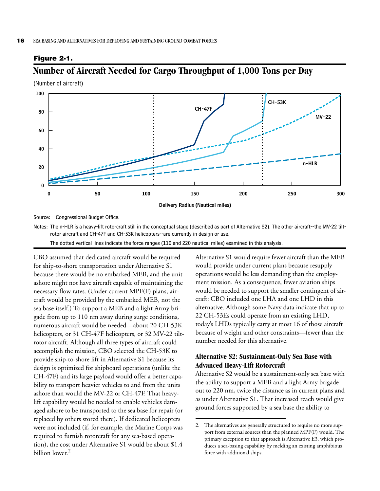#### <span id="page-31-0"></span>**Figure 2-1.**

#### <span id="page-31-1"></span>**Number of Aircraft Needed for Cargo Throughput of 1,000 Tons per Day**

(Number of aircraft)



Source: Congressional Budget Office.

Notes: The n-HLR is a heavy-lift rotorcraft still in the conceptual stage (described as part of Alternative S2). The other aircraft--the MV-22 tiltrotor aircraft and CH-47F and CH-53K helicopters--are currently in design or use.

The dotted vertical lines indicate the force ranges (110 and 220 nautical miles) examined in this analysis.

CBO assumed that dedicated aircraft would be required for ship-to-shore transportation under Alternative S1 because there would be no embarked MEB, and the unit ashore might not have aircraft capable of maintaining the necessary flow rates. (Under current MPF(F) plans, aircraft would be provided by the embarked MEB, not the sea base itself.) To support a MEB and a light Army brigade from up to 110 nm away during surge conditions, numerous aircraft would be needed—about 20 CH-53K helicopters, or 31 CH-47F helicopters, or 32 MV-22 tiltrotor aircraft. Although all three types of aircraft could accomplish the mission, CBO selected the CH-53K to provide ship-to-shore lift in Alternative S1 because its design is optimized for shipboard operations (unlike the CH-47F) and its large payload would offer a better capability to transport heavier vehicles to and from the units ashore than would the MV-22 or CH-47F. That heavylift capability would be needed to enable vehicles damaged ashore to be transported to the sea base for repair (or replaced by others stored there). If dedicated helicopters were not included (if, for example, the Marine Corps was required to furnish rotorcraft for any sea-based operation), the cost under Alternative S1 would be about \$1.4 billion lower.<sup>2</sup>

Alternative S1 would require fewer aircraft than the MEB would provide under current plans because resupply operations would be less demanding than the employment mission. As a consequence, fewer aviation ships would be needed to support the smaller contingent of aircraft: CBO included one LHA and one LHD in this alternative. Although some Navy data indicate that up to 22 CH-53Es could operate from an existing LHD, today's LHDs typically carry at most 16 of those aircraft because of weight and other constraints—fewer than the number needed for this alternative.

#### **Alternative S2: Sustainment-Only Sea Base with Advanced Heavy-Lift Rotorcraft**

Alternative S2 would be a sustainment-only sea base with the ability to support a MEB and a light Army brigade out to 220 nm, twice the distance as in current plans and as under Alternative S1. That increased reach would give ground forces supported by a sea base the ability to

<sup>2.</sup> The alternatives are generally structured to require no more support from external sources than the planned MPF(F) would. The primary exception to that approach is Alternative E3, which produces a sea-basing capability by melding an existing amphibious force with additional ships.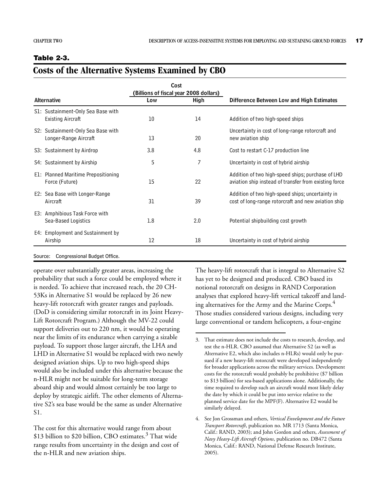#### <span id="page-32-0"></span>**Table 2-3.**

#### **Costs of the Alternative Systems Examined by CBO**

|                                                                |     | Cost<br>(Billions of fiscal year 2008 dollars) |                                                                                                            |  |  |  |
|----------------------------------------------------------------|-----|------------------------------------------------|------------------------------------------------------------------------------------------------------------|--|--|--|
| <b>Alternative</b>                                             | Low | High                                           | Difference Between Low and High Estimates                                                                  |  |  |  |
| S1: Sustainment-Only Sea Base with<br><b>Existing Aircraft</b> | 10  | 14                                             | Addition of two high-speed ships                                                                           |  |  |  |
| S2: Sustainment-Only Sea Base with<br>Longer-Range Aircraft    | 13  | 20                                             | Uncertainty in cost of long-range rotorcraft and<br>new aviation ship                                      |  |  |  |
| S3: Sustainment by Airdrop                                     | 3.8 | 4.8                                            | Cost to restart C-17 production line                                                                       |  |  |  |
| S4: Sustainment by Airship                                     | 5   | 7                                              | Uncertainty in cost of hybrid airship                                                                      |  |  |  |
| E1: Planned Maritime Prepositioning<br>Force (Future)          | 15  | 22                                             | Addition of two high-speed ships; purchase of LHD<br>aviation ship instead of transfer from existing force |  |  |  |
| E2: Sea Base with Longer-Range<br>Aircraft                     | 31  | 39                                             | Addition of two high-speed ships; uncertainty in<br>cost of long-range rotorcraft and new aviation ship    |  |  |  |
| E3: Amphibious Task Force with<br>Sea-Based Logistics          | 1.8 | 2.0                                            | Potential shipbuilding cost growth                                                                         |  |  |  |
| E4: Employment and Sustainment by<br>Airship                   | 12  | 18                                             | Uncertainty in cost of hybrid airship                                                                      |  |  |  |
|                                                                |     |                                                |                                                                                                            |  |  |  |

#### Source: Congressional Budget Office.

operate over substantially greater areas, increasing the probability that such a force could be employed where it is needed. To achieve that increased reach, the 20 CH-53Ks in Alternative S1 would be replaced by 26 new heavy-lift rotorcraft with greater ranges and payloads. (DoD is considering similar rotorcraft in its Joint Heavy-Lift Rotorcraft Program.) Although the MV-22 could support deliveries out to 220 nm, it would be operating near the limits of its endurance when carrying a sizable payload. To support those larger aircraft, the LHA and LHD in Alternative S1 would be replaced with two newly designed aviation ships. Up to two high-speed ships would also be included under this alternative because the n-HLR might not be suitable for long-term storage aboard ship and would almost certainly be too large to deploy by strategic airlift. The other elements of Alternative S2's sea base would be the same as under Alternative S1.

The cost for this alternative would range from about \$13 billion to \$20 billion, CBO estimates.<sup>3</sup> That wide range results from uncertainty in the design and cost of the n-HLR and new aviation ships.

The heavy-lift rotorcraft that is integral to Alternative S2 has yet to be designed and produced. CBO based its notional rotorcraft on designs in RAND Corporation analyses that explored heavy-lift vertical takeoff and landing alternatives for the Army and the Marine Corps.<sup>4</sup> Those studies considered various designs, including very large conventional or tandem helicopters, a four-engine

<sup>3.</sup> That estimate does not include the costs to research, develop, and test the n-HLR. CBO assumed that Alternative S2 (as well as Alternative E2, which also includes n-HLRs) would only be pursued if a new heavy-lift rotorcraft were developed independently for broader applications across the military services. Development costs for the rotorcraft would probably be prohibitive (\$7 billion to \$13 billion) for sea-based applications alone. Additionally, the time required to develop such an aircraft would most likely delay the date by which it could be put into service relative to the planned service date for the MPF(F). Alternative E2 would be similarly delayed.

<sup>4.</sup> See Jon Grossman and others, *Vertical Envelopment and the Future Transport Rotorcraft*, publication no. MR 1713 (Santa Monica, Calif.: RAND, 2003); and John Gordon and others, *Assessment of Navy Heavy-Lift Aircraft Options*, publication no. DB472 (Santa Monica, Calif.: RAND, National Defense Research Institute, 2005).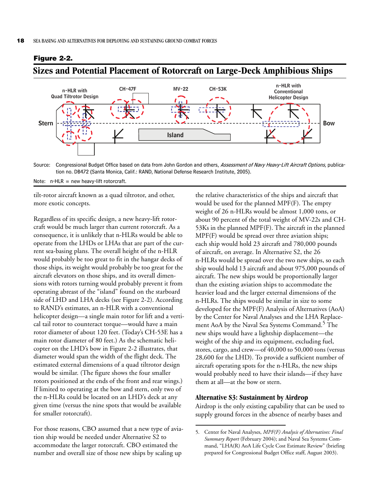

#### <span id="page-33-0"></span>**Figure 2-2.**

<span id="page-33-1"></span>**Sizes and Potential Placement of Rotorcraft on Large-Deck Amphibious Ships**

Source: Congressional Budget Office based on data from John Gordon and others, Assessment of Navy Heavy-Lift Aircraft Options, publication no. DB472 (Santa Monica, Calif.: RAND, National Defense Research Institute, 2005).

Note:  $n$ -HLR = new heavy-lift rotorcraft.

tilt-rotor aircraft known as a quad tiltrotor, and other, more exotic concepts.

Regardless of its specific design, a new heavy-lift rotorcraft would be much larger than current rotorcraft. As a consequence, it is unlikely that n-HLRs would be able to operate from the LHDs or LHAs that are part of the current sea-basing plans. The overall height of the n-HLR would probably be too great to fit in the hangar decks of those ships, its weight would probably be too great for the aircraft elevators on those ships, and its overall dimensions with rotors turning would probably prevent it from operating abreast of the "island" found on the starboard side of LHD and LHA decks (see [Figure 2-2\)](#page-33-0). According to RAND's estimates, an n-HLR with a conventional helicopter design—a single main rotor for lift and a vertical tail rotor to counteract torque—would have a main rotor diameter of about 120 feet. (Today's CH-53E has a main rotor diameter of 80 feet.) As the schematic helicopter on the LHD's bow in [Figure 2-2](#page-33-0) illustrates, that diameter would span the width of the flight deck. The estimated external dimensions of a quad tiltrotor design would be similar. (The figure shows the four smaller rotors positioned at the ends of the front and rear wings.) If limited to operating at the bow and stern, only two of the n-HLRs could be located on an LHD's deck at any given time (versus the nine spots that would be available for smaller rotorcraft).

For those reasons, CBO assumed that a new type of aviation ship would be needed under Alternative S2 to accommodate the larger rotorcraft. CBO estimated the number and overall size of those new ships by scaling up

the relative characteristics of the ships and aircraft that would be used for the planned MPF(F). The empty weight of 26 n-HLRs would be almost 1,000 tons, or about 90 percent of the total weight of MV-22s and CH-53Ks in the planned MPF(F). The aircraft in the planned MPF(F) would be spread over three aviation ships; each ship would hold 23 aircraft and 780,000 pounds of aircraft, on average. In Alternative S2, the 26 n-HLRs would be spread over the two new ships, so each ship would hold 13 aircraft and about 975,000 pounds of aircraft. The new ships would be proportionally larger than the existing aviation ships to accommodate the heavier load and the larger external dimensions of the n-HLRs. The ships would be similar in size to some developed for the MPF(F) Analysis of Alternatives (AoA) by the Center for Naval Analyses and the LHA Replacement AoA by the Naval Sea Systems Command.<sup>5</sup> The new ships would have a lightship displacement—the weight of the ship and its equipment, excluding fuel, stores, cargo, and crew—of 40,000 to 50,000 tons (versus 28,600 for the LHD). To provide a sufficient number of aircraft operating spots for the n-HLRs, the new ships would probably need to have their islands—if they have them at all—at the bow or stern.

#### **Alternative S3: Sustainment by Airdrop**

Airdrop is the only existing capability that can be used to supply ground forces in the absence of nearby bases and

<sup>5.</sup> Center for Naval Analyses, *MPF(F) Analysis of Alternatives: Final Summary Report* (February 2004); and Naval Sea Systems Command, "LHA(R) AoA Life Cycle Cost Estimate Review" (briefing prepared for Congressional Budget Office staff, August 2003).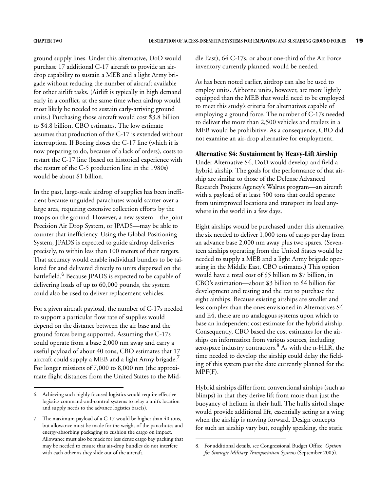ground supply lines. Under this alternative, DoD would purchase 17 additional C-17 aircraft to provide an airdrop capability to sustain a MEB and a light Army brigade without reducing the number of aircraft available for other airlift tasks. (Airlift is typically in high demand early in a conflict, at the same time when airdrop would most likely be needed to sustain early-arriving ground units.) Purchasing those aircraft would cost \$3.8 billion to \$4.8 billion, CBO estimates. The low estimate assumes that production of the C-17 is extended without interruption. If Boeing closes the C-17 line (which it is now preparing to do, because of a lack of orders), costs to restart the C-17 line (based on historical experience with the restart of the C-5 production line in the 1980s) would be about \$1 billion.

In the past, large-scale airdrop of supplies has been inefficient because unguided parachutes would scatter over a large area, requiring extensive collection efforts by the troops on the ground. However, a new system—the Joint Precision Air Drop System, or JPADS—may be able to counter that inefficiency. Using the Global Positioning System, JPADS is expected to guide airdrop deliveries precisely, to within less than 100 meters of their targets. That accuracy would enable individual bundles to be tailored for and delivered directly to units dispersed on the battlefield.<sup>6</sup> Because JPADS is expected to be capable of delivering loads of up to 60,000 pounds, the system could also be used to deliver replacement vehicles.

For a given aircraft payload, the number of C-17s needed to support a particular flow rate of supplies would depend on the distance between the air base and the ground forces being supported. Assuming the C-17s could operate from a base 2,000 nm away and carry a useful payload of about 40 tons, CBO estimates that 17 aircraft could supply a MEB and a light Army brigade.<sup>7</sup> For longer missions of 7,000 to 8,000 nm (the approximate flight distances from the United States to the Middle East), 64 C-17s, or about one-third of the Air Force inventory currently planned, would be needed.

As has been noted earlier, airdrop can also be used to employ units. Airborne units, however, are more lightly equipped than the MEB that would need to be employed to meet this study's criteria for alternatives capable of employing a ground force. The number of C-17s needed to deliver the more than 2,500 vehicles and trailers in a MEB would be prohibitive. As a consequence, CBO did not examine an air-drop alternative for employment.

#### **Alternative S4: Sustainment by Heavy-Lift Airship**

Under Alternative S4, DoD would develop and field a hybrid airship. The goals for the performance of that airship are similar to those of the Defense Advanced Research Projects Agency's Walrus program—an aircraft with a payload of at least 500 tons that could operate from unimproved locations and transport its load anywhere in the world in a few days.

Eight airships would be purchased under this alternative, the six needed to deliver 1,000 tons of cargo per day from an advance base 2,000 nm away plus two spares. (Seventeen airships operating from the United States would be needed to supply a MEB and a light Army brigade operating in the Middle East, CBO estimates.) This option would have a total cost of \$5 billion to \$7 billion, in CBO's estimation—about \$3 billion to \$4 billion for development and testing and the rest to purchase the eight airships. Because existing airships are smaller and less complex than the ones envisioned in Alternatives S4 and E4, there are no analogous systems upon which to base an independent cost estimate for the hybrid airship. Consequently, CBO based the cost estimates for the airships on information from various sources, including aerospace industry contractors.<sup>8</sup> As with the n-HLR, the time needed to develop the airship could delay the fielding of this system past the date currently planned for the MPF(F).

Hybrid airships differ from conventional airships (such as blimps) in that they derive lift from more than just the buoyancy of helium in their hull. The hull's airfoil shape would provide additional lift, essentially acting as a wing when the airship is moving forward. Design concepts for such an airship vary but, roughly speaking, the static

<sup>6.</sup> Achieving such highly focused logistics would require effective logistics command-and-control systems to relay a unit's location and supply needs to the advance logistics base(s).

<sup>7.</sup> The maximum payload of a C-17 would be higher than 40 tons, but allowance must be made for the weight of the parachutes and energy-absorbing packaging to cushion the cargo on impact. Allowance must also be made for less dense cargo bay packing that may be needed to ensure that air-drop bundles do not interfere with each other as they slide out of the aircraft.

<sup>8.</sup> For additional details, see Congressional Budget Office, *Options for Strategic Military Transportation Systems* (September 2005).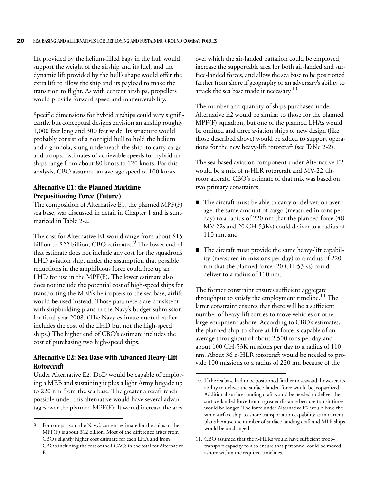lift provided by the helium-filled bags in the hull would support the weight of the airship and its fuel, and the dynamic lift provided by the hull's shape would offer the extra lift to allow the ship and its payload to make the transition to flight. As with current airships, propellers would provide forward speed and maneuverability.

Specific dimensions for hybrid airships could vary significantly, but conceptual designs envision an airship roughly 1,000 feet long and 300 feet wide. Its structure would probably consist of a nonrigid hull to hold the helium and a gondola, slung underneath the ship, to carry cargo and troops. Estimates of achievable speeds for hybrid airships range from about 80 knots to 120 knots. For this analysis, CBO assumed an average speed of 100 knots.

#### **Alternative E1: the Planned Maritime Prepositioning Force (Future)**

The composition of Alternative E1, the planned MPF(F) sea base, was discussed in detail in [Chapter 1](#page-16-3) and is summarized in [Table 2-2.](#page-30-0)

The cost for Alternative E1 would range from about \$15 billion to \$22 billion, CBO estimates.<sup>9</sup> The lower end of that estimate does not include any cost for the squadron's LHD aviation ship, under the assumption that possible reductions in the amphibious force could free up an LHD for use in the MPF(F). The lower estimate also does not include the potential cost of high-speed ships for transporting the MEB's helicopters to the sea base; airlift would be used instead. Those parameters are consistent with shipbuilding plans in the Navy's budget submission for fiscal year 2008. (The Navy estimate quoted earlier includes the cost of the LHD but not the high-speed ships.) The higher end of CBO's estimate includes the cost of purchasing two high-speed ships.

#### **Alternative E2: Sea Base with Advanced Heavy-Lift Rotorcraft**

Under Alternative E2, DoD would be capable of employing a MEB and sustaining it plus a light Army brigade up to 220 nm from the sea base. The greater aircraft reach possible under this alternative would have several advantages over the planned MPF(F): It would increase the area

over which the air-landed battalion could be employed, increase the supportable area for both air-landed and surface-landed forces, and allow the sea base to be positioned farther from shore if geography or an adversary's ability to attack the sea base made it necessary.<sup>10</sup>

The number and quantity of ships purchased under Alternative E2 would be similar to those for the planned MPF(F) squadron, but one of the planned LHAs would be omitted and three aviation ships of new design (like those described above) would be added to support operations for the new heavy-lift rotorcraft (see [Table 2-2\)](#page-30-0).

The sea-based aviation component under Alternative E2 would be a mix of n-HLR rotorcraft and MV-22 tiltrotor aircraft. CBO's estimate of that mix was based on two primary constraints:

- $\blacksquare$  The aircraft must be able to carry or deliver, on average, the same amount of cargo (measured in tons per day) to a radius of 220 nm that the planned force (48 MV-22s and 20 CH-53Ks) could deliver to a radius of 110 nm, and
- $\blacksquare$  The aircraft must provide the same heavy-lift capability (measured in missions per day) to a radius of 220 nm that the planned force (20 CH-53Ks) could deliver to a radius of 110 nm.

The former constraint ensures sufficient aggregate throughput to satisfy the employment timeline.<sup>11</sup> The latter constraint ensures that there will be a sufficient number of heavy-lift sorties to move vehicles or other large equipment ashore. According to CBO's estimates, the planned ship-to-shore airlift force is capable of an average throughput of about 2,500 tons per day and about 100 CH-53K missions per day to a radius of 110 nm. About 36 n-HLR rotorcraft would be needed to provide 100 missions to a radius of 220 nm because of the

<sup>9.</sup> For comparison, the Navy's current estimate for the ships in the MPF(F) is about \$12 billion. Most of the difference arises from CBO's slightly higher cost estimate for each LHA and from CBO's including the cost of the LCACs in the total for Alternative  $F<sub>1</sub>$ .

<sup>10.</sup> If the sea base had to be positioned farther to seaward, however, its ability to deliver the surface-landed force would be jeopardized. Additional surface-landing craft would be needed to deliver the surface-landed force from a greater distance because transit times would be longer. The force under Alternative E2 would have the same surface ship-to-shore transportation capability as in current plans because the number of surface-landing craft and MLP ships would be unchanged.

<sup>11.</sup> CBO assumed that the n-HLRs would have sufficient trooptransport capacity to also ensure that personnel could be moved ashore within the required timelines.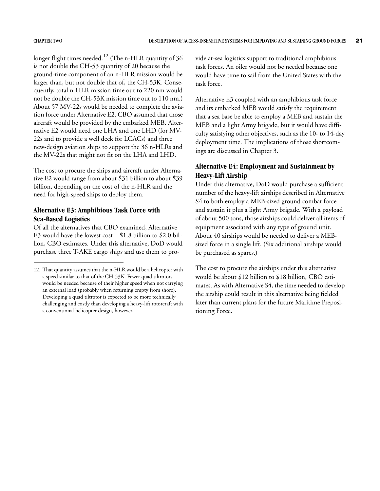longer flight times needed.<sup>12</sup> (The n-HLR quantity of 36 is not double the CH-53 quantity of 20 because the ground-time component of an n-HLR mission would be larger than, but not double that of, the CH-53K. Consequently, total n-HLR mission time out to 220 nm would not be double the CH-53K mission time out to 110 nm.) About 57 MV-22s would be needed to complete the aviation force under Alternative E2. CBO assumed that those aircraft would be provided by the embarked MEB. Alternative E2 would need one LHA and one LHD (for MV-22s and to provide a well deck for LCACs) and three new-design aviation ships to support the 36 n-HLRs and the MV-22s that might not fit on the LHA and LHD.

The cost to procure the ships and aircraft under Alternative E2 would range from about \$31 billion to about \$39 billion, depending on the cost of the n-HLR and the need for high-speed ships to deploy them.

#### **Alternative E3: Amphibious Task Force with Sea-Based Logistics**

Of all the alternatives that CBO examined, Alternative E3 would have the lowest cost—\$1.8 billion to \$2.0 billion, CBO estimates. Under this alternative, DoD would purchase three T-AKE cargo ships and use them to provide at-sea logistics support to traditional amphibious task forces. An oiler would not be needed because one would have time to sail from the United States with the task force.

Alternative E3 coupled with an amphibious task force and its embarked MEB would satisfy the requirement that a sea base be able to employ a MEB and sustain the MEB and a light Army brigade, but it would have difficulty satisfying other objectives, such as the 10- to 14-day deployment time. The implications of those shortcomings are discussed in [Chapter 3.](#page-38-3)

#### **Alternative E4: Employment and Sustainment by Heavy-Lift Airship**

Under this alternative, DoD would purchase a sufficient number of the heavy-lift airships described in Alternative S4 to both employ a MEB-sized ground combat force and sustain it plus a light Army brigade. With a payload of about 500 tons, those airships could deliver all items of equipment associated with any type of ground unit. About 40 airships would be needed to deliver a MEBsized force in a single lift. (Six additional airships would be purchased as spares.)

The cost to procure the airships under this alternative would be about \$12 billion to \$18 billion, CBO estimates. As with Alternative S4, the time needed to develop the airship could result in this alternative being fielded later than current plans for the future Maritime Prepositioning Force.

<sup>12.</sup> That quantity assumes that the n-HLR would be a helicopter with a speed similar to that of the CH-53K. Fewer quad tiltrotors would be needed because of their higher speed when not carrying an external load (probably when returning empty from shore). Developing a quad tiltrotor is expected to be more technically challenging and costly than developing a heavy-lift rotorcraft with a conventional helicopter design, however.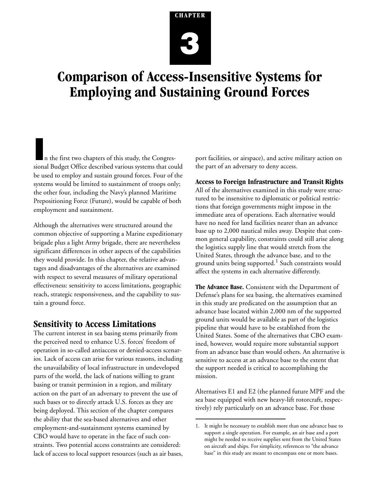# <span id="page-38-3"></span>**CHAPTER 3**

## <span id="page-38-1"></span><span id="page-38-0"></span>**Comparison of Access-Insensitive Systems for Employing and Sustaining Ground Forces**

**I**n the first two chapters of this study, the Congressional Budget Office described various systems that could be used to employ and sustain ground forces. Four of the systems would be limited to sustainment of troops only; the other four, including the Navy's planned Maritime Prepositioning Force (Future), would be capable of both employment and sustainment.

Although the alternatives were structured around the common objective of supporting a Marine expeditionary brigade plus a light Army brigade, there are nevertheless significant differences in other aspects of the capabilities they would provide. In this chapter, the relative advantages and disadvantages of the alternatives are examined with respect to several measures of military operational effectiveness: sensitivity to access limitations, geographic reach, strategic responsiveness, and the capability to sustain a ground force.

#### <span id="page-38-2"></span>**Sensitivity to Access Limitations**

The current interest in sea basing stems primarily from the perceived need to enhance U.S. forces' freedom of operation in so-called antiaccess or denied-access scenarios. Lack of access can arise for various reasons, including the unavailability of local infrastructure in undeveloped parts of the world, the lack of nations willing to grant basing or transit permission in a region, and military action on the part of an adversary to prevent the use of such bases or to directly attack U.S. forces as they are being deployed. This section of the chapter compares the ability that the sea-based alternatives and other employment-and-sustainment systems examined by CBO would have to operate in the face of such constraints. Two potential access constraints are considered: lack of access to local support resources (such as air bases,

port facilities, or airspace), and active military action on the part of an adversary to deny access.

#### **Access to Foreign Infrastructure and Transit Rights**

All of the alternatives examined in this study were structured to be insensitive to diplomatic or political restrictions that foreign governments might impose in the immediate area of operations. Each alternative would have no need for land facilities nearer than an advance base up to 2,000 nautical miles away. Despite that common general capability, constraints could still arise along the logistics supply line that would stretch from the United States, through the advance base, and to the ground units being supported. $1$  Such constraints would affect the systems in each alternative differently.

**The Advance Base.** Consistent with the Department of Defense's plans for sea basing, the alternatives examined in this study are predicated on the assumption that an advance base located within 2,000 nm of the supported ground units would be available as part of the logistics pipeline that would have to be established from the United States. Some of the alternatives that CBO examined, however, would require more substantial support from an advance base than would others. An alternative is sensitive to access at an advance base to the extent that the support needed is critical to accomplishing the mission.

Alternatives E1 and E2 (the planned future MPF and the sea base equipped with new heavy-lift rotorcraft, respectively) rely particularly on an advance base. For those

<sup>1.</sup> It might be necessary to establish more than one advance base to support a single operation. For example, an air base and a port might be needed to receive supplies sent from the United States on aircraft and ships. For simplicity, references to "the advance base" in this study are meant to encompass one or more bases.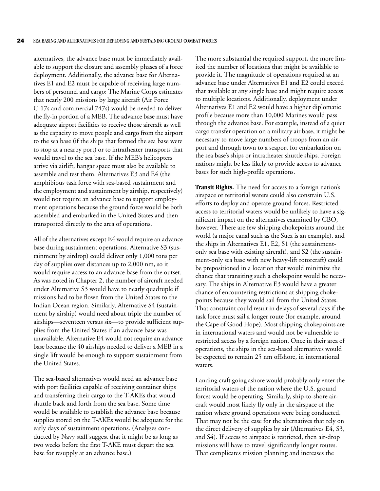alternatives, the advance base must be immediately available to support the closure and assembly phases of a force deployment. Additionally, the advance base for Alternatives E1 and E2 must be capable of receiving large numbers of personnel and cargo: The Marine Corps estimates that nearly 200 missions by large aircraft (Air Force C-17s and commercial 747s) would be needed to deliver the fly-in portion of a MEB. The advance base must have adequate airport facilities to receive those aircraft as well as the capacity to move people and cargo from the airport to the sea base (if the ships that formed the sea base were to stop at a nearby port) or to intratheater transports that would travel to the sea base. If the MEB's helicopters arrive via airlift, hangar space must also be available to assemble and test them. Alternatives E3 and E4 (the amphibious task force with sea-based sustainment and the employment and sustainment by airship, respectively) would not require an advance base to support employment operations because the ground force would be both assembled and embarked in the United States and then transported directly to the area of operations.

All of the alternatives except E4 would require an advance base during sustainment operations. Alternative S3 (sustainment by airdrop) could deliver only 1,000 tons per day of supplies over distances up to 2,000 nm, so it would require access to an advance base from the outset. As was noted in [Chapter 2,](#page-28-3) the number of aircraft needed under Alternative S3 would have to nearly quadruple if missions had to be flown from the United States to the Indian Ocean region. Similarly, Alternative S4 (sustainment by airship) would need about triple the number of airships—seventeen versus six—to provide sufficient supplies from the United States if an advance base was unavailable. Alternative E4 would not require an advance base because the 40 airships needed to deliver a MEB in a single lift would be enough to support sustainment from the United States.

The sea-based alternatives would need an advance base with port facilities capable of receiving container ships and transferring their cargo to the T-AKEs that would shuttle back and forth from the sea base. Some time would be available to establish the advance base because supplies stored on the T-AKEs would be adequate for the early days of sustainment operations. (Analyses conducted by Navy staff suggest that it might be as long as two weeks before the first T-AKE must depart the sea base for resupply at an advance base.)

The more substantial the required support, the more limited the number of locations that might be available to provide it. The magnitude of operations required at an advance base under Alternatives E1 and E2 could exceed that available at any single base and might require access to multiple locations. Additionally, deployment under Alternatives E1 and E2 would have a higher diplomatic profile because more than 10,000 Marines would pass through the advance base. For example, instead of a quiet cargo transfer operation on a military air base, it might be necessary to move large numbers of troops from an airport and through town to a seaport for embarkation on the sea base's ships or intratheater shuttle ships. Foreign nations might be less likely to provide access to advance bases for such high-profile operations.

**Transit Rights.** The need for access to a foreign nation's airspace or territorial waters could also constrain U.S. efforts to deploy and operate ground forces. Restricted access to territorial waters would be unlikely to have a significant impact on the alternatives examined by CBO, however. There are few shipping chokepoints around the world (a major canal such as the Suez is an example), and the ships in Alternatives E1, E2, S1 (the sustainmentonly sea base with existing aircraft), and S2 (the sustainment-only sea base with new heavy-lift rotorcraft) could be prepositioned in a location that would minimize the chance that transiting such a chokepoint would be necessary. The ships in Alternative E3 would have a greater chance of encountering restrictions at shipping chokepoints because they would sail from the United States. That constraint could result in delays of several days if the task force must sail a longer route (for example, around the Cape of Good Hope). Most shipping chokepoints are in international waters and would not be vulnerable to restricted access by a foreign nation. Once in their area of operations, the ships in the sea-based alternatives would be expected to remain 25 nm offshore, in international waters.

Landing craft going ashore would probably only enter the territorial waters of the nation where the U.S. ground forces would be operating. Similarly, ship-to-shore aircraft would most likely fly only in the airspace of the nation where ground operations were being conducted. That may not be the case for the alternatives that rely on the direct delivery of supplies by air (Alternatives E4, S3, and S4). If access to airspace is restricted, then air-drop missions will have to travel significantly longer routes. That complicates mission planning and increases the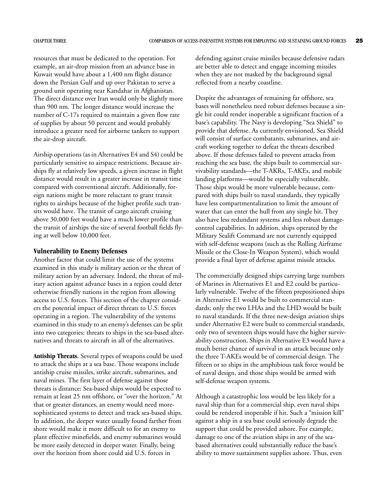resources that must be dedicated to the operation. For example, an air-drop mission from an advance base in Kuwait would have about a 1,400 nm flight distance down the Persian Gulf and up over Pakistan to serve a ground unit operating near Kandahar in Afghanistan. The direct distance over Iran would only be slightly more than 900 nm. The longer distance would increase the number of C-17s required to maintain a given flow rate of supplies by about 50 percent and would probably introduce a greater need for airborne tankers to support the air-drop aircraft.

Airship operations (as in Alternatives E4 and S4) could be particularly sensitive to airspace restrictions. Because airships fly at relatively low speeds, a given increase in flight distance would result in a greater increase in transit time compared with conventional aircraft. Additionally, foreign nations might be more reluctant to grant transit rights to airships because of the higher profile such transits would have. The transit of cargo aircraft cruising above 30,000 feet would have a much lower profile than the transit of airships the size of several football fields flying at well below 10,000 feet.

#### **Vulnerability to Enemy Defenses**

Another factor that could limit the use of the systems examined in this study is military action or the threat of military action by an adversary. Indeed, the threat of military action against advance bases in a region could deter otherwise friendly nations in the region from allowing access to U.S. forces. This section of the chapter considers the potential impact of direct threats to U.S. forces operating in a region. The vulnerability of the systems examined in this study to an enemy's defenses can be split into two categories: threats to ships in the sea-based alternatives and threats to aircraft in all of the alternatives.

**Antiship Threats.** Several types of weapons could be used to attack the ships at a sea base. Those weapons include antiship cruise missiles, strike aircraft, submarines, and naval mines. The first layer of defense against those threats is distance: Sea-based ships would be expected to remain at least 25 nm offshore, or "over the horizon." At that or greater distances, an enemy would need moresophisticated systems to detect and track sea-based ships. In addition, the deeper water usually found farther from shore would make it more difficult to for an enemy to plant effective minefields, and enemy submarines would be more easily detected in deeper water. Finally, being over the horizon from shore could aid U.S. forces in

defending against cruise missiles because defensive radars are better able to detect and engage incoming missiles when they are not masked by the background signal reflected from a nearby coastline.

Despite the advantages of remaining far offshore, sea bases will nonetheless need robust defenses because a single hit could render inoperable a significant fraction of a base's capability. The Navy is developing "Sea Shield" to provide that defense. As currently envisioned, Sea Shield will consist of surface combatants, submarines, and aircraft working together to defeat the threats described above. If those defenses failed to prevent attacks from reaching the sea base, the ships built to commercial survivability standards—the T-AKRs, T-AKEs, and mobile landing platforms—would be especially vulnerable. Those ships would be more vulnerable because, compared with ships built to naval standards, they typically have less compartmentalization to limit the amount of water that can enter the hull from any single hit. They also have less redundant systems and less robust damagecontrol capabilities. In addition, ships operated by the Military Sealift Command are not currently equipped with self-defense weapons (such as the Rolling Airframe Missile or the Close-In Weapon System), which would provide a final layer of defense against missile attacks.

The commercially designed ships carrying large numbers of Marines in Alternatives E1 and E2 could be particularly vulnerable. Twelve of the fifteen prepositioned ships in Alternative E1 would be built to commercial standards; only the two LHAs and the LHD would be built to naval standards. If the three new-design aviation ships under Alternative E2 were built to commercial standards, only two of seventeen ships would have the higher survivability construction. Ships in Alternative E3 would have a much better chance of survival in an attack because only the three T-AKEs would be of commercial design. The fifteen or so ships in the amphibious task force would be of naval design, and those ships would be armed with self-defense weapon systems.

Although a catastrophic loss would be less likely for a naval ship than for a commercial ship, even naval ships could be rendered inoperable if hit. Such a "mission kill" against a ship in a sea base could seriously degrade the support that could be provided ashore. For example, damage to one of the aviation ships in any of the seabased alternatives could substantially reduce the base's ability to move sustainment supplies ashore. Thus, even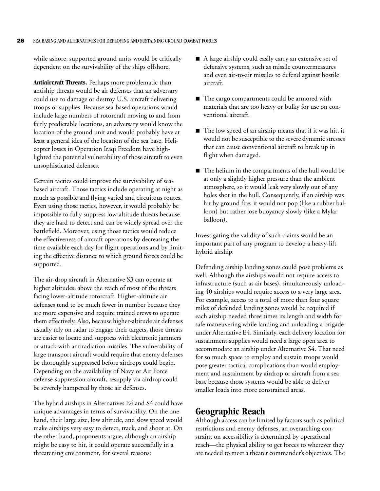while ashore, supported ground units would be critically dependent on the survivability of the ships offshore.

**Antiaircraft Threats.** Perhaps more problematic than antiship threats would be air defenses that an adversary could use to damage or destroy U.S. aircraft delivering troops or supplies. Because sea-based operations would include large numbers of rotorcraft moving to and from fairly predictable locations, an adversary would know the location of the ground unit and would probably have at least a general idea of the location of the sea base. Helicopter losses in Operation Iraqi Freedom have highlighted the potential vulnerability of those aircraft to even unsophisticated defenses.

Certain tactics could improve the survivability of seabased aircraft. Those tactics include operating at night as much as possible and flying varied and circuitous routes. Even using those tactics, however, it would probably be impossible to fully suppress low-altitude threats because they are hard to detect and can be widely spread over the battlefield. Moreover, using those tactics would reduce the effectiveness of aircraft operations by decreasing the time available each day for flight operations and by limiting the effective distance to which ground forces could be supported.

The air-drop aircraft in Alternative S3 can operate at higher altitudes, above the reach of most of the threats facing lower-altitude rotorcraft. Higher-altitude air defenses tend to be much fewer in number because they are more expensive and require trained crews to operate them effectively. Also, because higher-altitude air defenses usually rely on radar to engage their targets, those threats are easier to locate and suppress with electronic jammers or attack with antiradiation missiles. The vulnerability of large transport aircraft would require that enemy defenses be thoroughly suppressed before airdrops could begin. Depending on the availability of Navy or Air Force defense-suppression aircraft, resupply via airdrop could be severely hampered by those air defenses.

The hybrid airships in Alternatives E4 and S4 could have unique advantages in terms of survivability. On the one hand, their large size, low altitude, and slow speed would make airships very easy to detect, track, and shoot at. On the other hand, proponents argue, although an airship might be easy to hit, it could operate successfully in a threatening environment, for several reasons:

- $\blacksquare$  A large airship could easily carry an extensive set of defensive systems, such as missile countermeasures and even air-to-air missiles to defend against hostile aircraft.
- The cargo compartments could be armored with materials that are too heavy or bulky for use on conventional aircraft.
- $\blacksquare$  The low speed of an airship means that if it was hit, it would not be susceptible to the severe dynamic stresses that can cause conventional aircraft to break up in flight when damaged.
- $\blacksquare$  The helium in the compartments of the hull would be at only a slightly higher pressure than the ambient atmosphere, so it would leak very slowly out of any holes shot in the hull. Consequently, if an airship was hit by ground fire, it would not pop (like a rubber balloon) but rather lose buoyancy slowly (like a Mylar balloon).

Investigating the validity of such claims would be an important part of any program to develop a heavy-lift hybrid airship.

Defending airship landing zones could pose problems as well. Although the airships would not require access to infrastructure (such as air bases), simultaneously unloading 40 airships would require access to a very large area. For example, access to a total of more than four square miles of defended landing zones would be required if each airship needed three times its length and width for safe maneuvering while landing and unloading a brigade under Alternative E4. Similarly, each delivery location for sustainment supplies would need a large open area to accommodate an airship under Alternative S4. That need for so much space to employ and sustain troops would pose greater tactical complications than would employment and sustainment by airdrop or aircraft from a sea base because those systems would be able to deliver smaller loads into more constrained areas.

### <span id="page-41-0"></span>**Geographic Reach**

Although access can be limited by factors such as political restrictions and enemy defenses, an overarching constraint on accessibility is determined by operational reach—the physical ability to get forces to wherever they are needed to meet a theater commander's objectives. The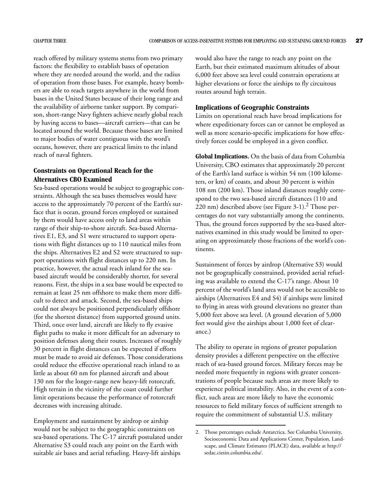reach offered by military systems stems from two primary factors: the flexibility to establish bases of operation where they are needed around the world, and the radius of operation from those bases. For example, heavy bombers are able to reach targets anywhere in the world from bases in the United States because of their long range and the availability of airborne tanker support. By comparison, short-range Navy fighters achieve nearly global reach by having access to bases—aircraft carriers—that can be located around the world. Because those bases are limited to major bodies of water contiguous with the word's oceans, however, there are practical limits to the inland reach of naval fighters.

#### **Constraints on Operational Reach for the Alternatives CBO Examined**

Sea-based operations would be subject to geographic constraints. Although the sea bases themselves would have access to the approximately 70 percent of the Earth's surface that is ocean, ground forces employed or sustained by them would have access only to land areas within range of their ship-to-shore aircraft. Sea-based Alternatives E1, E3, and S1 were structured to support operations with flight distances up to 110 nautical miles from the ships. Alternatives E2 and S2 were structured to support operations with flight distances up to 220 nm. In practice, however, the actual reach inland for the seabased aircraft would be considerably shorter, for several reasons. First, the ships in a sea base would be expected to remain at least 25 nm offshore to make them more difficult to detect and attack. Second, the sea-based ships could not always be positioned perpendicularly offshore (for the shortest distance) from supported ground units. Third, once over land, aircraft are likely to fly evasive flight paths to make it more difficult for an adversary to position defenses along their routes. Increases of roughly 30 percent in flight distances can be expected if efforts must be made to avoid air defenses. Those considerations could reduce the effective operational reach inland to as little as about 60 nm for planned aircraft and about 130 nm for the longer-range new heavy-lift rotorcraft. High terrain in the vicinity of the coast could further limit operations because the performance of rotorcraft decreases with increasing altitude.

Employment and sustainment by airdrop or airship would not be subject to the geographic constraints on sea-based operations. The C-17 aircraft postulated under Alternative S3 could reach any point on the Earth with suitable air bases and aerial refueling. Heavy-lift airships

would also have the range to reach any point on the Earth, but their estimated maximum altitudes of about 6,000 feet above sea level could constrain operations at higher elevations or force the airships to fly circuitous routes around high terrain.

#### **Implications of Geographic Constraints**

Limits on operational reach have broad implications for where expeditionary forces can or cannot be employed as well as more scenario-specific implications for how effectively forces could be employed in a given conflict.

**Global Implications.** On the basis of data from Columbia University, CBO estimates that approximately 20 percent of the Earth's land surface is within 54 nm (100 kilometers, or km) of coasts, and about 30 percent is within 108 nm (200 km). Those inland distances roughly correspond to the two sea-based aircraft distances (110 and  $(220 \text{ nm})$  described above (see [Figure 3-1\)](#page-43-0).<sup>2</sup> Those percentages do not vary substantially among the continents. Thus, the ground forces supported by the sea-based alternatives examined in this study would be limited to operating on approximately those fractions of the world's continents.

Sustainment of forces by airdrop (Alternative S3) would not be geographically constrained, provided aerial refueling was available to extend the C-17's range. About 10 percent of the world's land area would not be accessible to airships (Alternatives E4 and S4) if airships were limited to flying in areas with ground elevations no greater than 5,000 feet above sea level. (A ground elevation of 5,000 feet would give the airships about 1,000 feet of clearance.)

The ability to operate in regions of greater population density provides a different perspective on the effective reach of sea-based ground forces. Military forces may be needed more frequently in regions with greater concentrations of people because such areas are more likely to experience political instability. Also, in the event of a conflict, such areas are more likely to have the economic resources to field military forces of sufficient strength to require the commitment of substantial U.S. military

<sup>2.</sup> Those percentages exclude Antarctica. See Columbia University, Socioeconomic Data and Applications Center, Population, Landscape, and Climate Estimates (PLACE) data, available at http:// sedac.ciesin.columbia.edu/.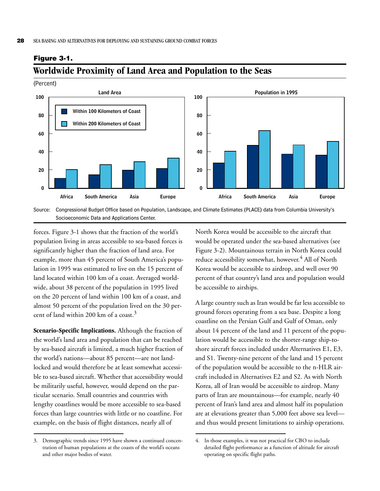<span id="page-43-0"></span>**Figure 3-1.**



#### <span id="page-43-1"></span>**Worldwide Proximity of Land Area and Population to the Seas**

forces. [Figure 3-1](#page-43-0) shows that the fraction of the world's population living in areas accessible to sea-based forces is significantly higher than the fraction of land area. For example, more than 45 percent of South America's population in 1995 was estimated to live on the 15 percent of land located within 100 km of a coast. Averaged worldwide, about 38 percent of the population in 1995 lived on the 20 percent of land within 100 km of a coast, and almost 50 percent of the population lived on the 30 percent of land within 200 km of a coast.<sup>3</sup>

**Scenario-Specific Implications.** Although the fraction of the world's land area and population that can be reached by sea-based aircraft is limited, a much higher fraction of the world's nations—about 85 percent—are not landlocked and would therefore be at least somewhat accessible to sea-based aircraft. Whether that accessibility would be militarily useful, however, would depend on the particular scenario. Small countries and countries with lengthy coastlines would be more accessible to sea-based forces than large countries with little or no coastline. For example, on the basis of flight distances, nearly all of

3. Demographic trends since 1995 have shown a continued concentration of human populations at the coasts of the world's oceans and other major bodies of water.

North Korea would be accessible to the aircraft that would be operated under the sea-based alternatives (see [Figure 3-2](#page-44-0)). Mountainous terrain in North Korea could reduce accessibility somewhat, however.<sup>4</sup> All of North Korea would be accessible to airdrop, and well over 90 percent of that country's land area and population would be accessible to airships.

A large country such as Iran would be far less accessible to ground forces operating from a sea base. Despite a long coastline on the Persian Gulf and Gulf of Oman, only about 14 percent of the land and 11 percent of the population would be accessible to the shorter-range ship-toshore aircraft forces included under Alternatives E1, E3, and S1. Twenty-nine percent of the land and 15 percent of the population would be accessible to the n-HLR aircraft included in Alternatives E2 and S2. As with North Korea, all of Iran would be accessible to airdrop. Many parts of Iran are mountainous—for example, nearly 40 percent of Iran's land area and almost half its population are at elevations greater than 5,000 feet above sea level and thus would present limitations to airship operations.

<sup>4.</sup> In those examples, it was not practical for CBO to include detailed flight performance as a function of altitude for aircraft operating on specific flight paths.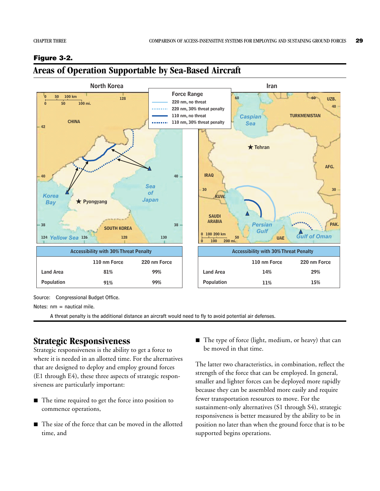#### **42 42 40 40 SOUTH KOREA 38 124 126 128** *Yellow Sea* **128 130** *Sea of Japan* **CHINA Pyongyang** *Korea Bay* **0 50 100 km 0 50 100 mi.** *Caspian Sea* **TURKMENISTAN SAUDI ARABIA IRAQ KUW. UAE PAK. AFG. UZB.** *Gulf of Oman Persian Gulf* **50 60 60 30 30 40 Tehran 0 0 100 200 mi. 100 200 km North Korea** Iran **Force Range 220 nm, no threat 220 nm, 30% threat penalty 110 nm, no threat 110 nm, 30% threat penalty Accessibility with 30% Threat Penalty Land Area Population 110 nm Force 220 nm Force 81% 99% 91% 99% Accessibility with 30% Threat Penalty Land Area Population 110 nm Force 220 nm Force 14% 29% 11% 15%**

#### <span id="page-44-0"></span>**Figure 3-2.**

## <span id="page-44-1"></span>**Areas of Operation Supportable by Sea-Based Aircraft**

Source: Congressional Budget Office.

Notes:  $nm =$  nautical mile.

A threat penalty is the additional distance an aircraft would need to fly to avoid potential air defenses.

## **Strategic Responsiveness**

Strategic responsiveness is the ability to get a force to where it is needed in an allotted time. For the alternatives that are designed to deploy and employ ground forces (E1 through E4), these three aspects of strategic responsiveness are particularly important:

- $\blacksquare$  The time required to get the force into position to commence operations,
- $\blacksquare$  The size of the force that can be moved in the allotted time, and

■ The type of force (light, medium, or heavy) that can be moved in that time.

The latter two characteristics, in combination, reflect the strength of the force that can be employed. In general, smaller and lighter forces can be deployed more rapidly because they can be assembled more easily and require fewer transportation resources to move. For the sustainment-only alternatives (S1 through S4), strategic responsiveness is better measured by the ability to be in position no later than when the ground force that is to be supported begins operations.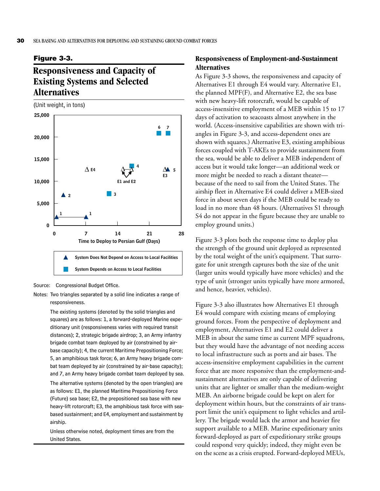#### <span id="page-45-0"></span>**Figure 3-3.**

## <span id="page-45-1"></span>**Responsiveness and Capacity of Existing Systems and Selected Alternatives**

(Unit weight, in tons)



Source: Congressional Budget Office.

The existing systems (denoted by the solid triangles and squares) are as follows: 1, a forward-deployed Marine expeditionary unit (responsiveness varies with required transit distances); 2, strategic brigade airdrop; 3, an Army infantry brigade combat team deployed by air (constrained by airbase capacity); 4, the current Maritime Prepositioning Force; 5, an amphibious task force; 6, an Army heavy brigade combat team deployed by air (constrained by air-base capacity); and 7, an Army heavy brigade combat team deployed by sea. The alternative systems (denoted by the open triangles) are

as follows: E1, the planned Maritime Prepositioning Force (Future) sea base; E2, the prepositioned sea base with new heavy-lift rotorcraft; E3, the amphibious task force with seabased sustainment; and E4, employment and sustainment by airship.

Unless otherwise noted, deployment times are from the United States.

#### **Responsiveness of Employment-and-Sustainment Alternatives**

As [Figure 3-3](#page-45-0) shows, the responsiveness and capacity of Alternatives E1 through E4 would vary. Alternative E1, the planned MPF(F), and Alternative E2, the sea base with new heavy-lift rotorcraft, would be capable of access-insensitive employment of a MEB within 15 to 17 days of activation to seacoasts almost anywhere in the world. (Access-insensitive capabilities are shown with triangles in [Figure 3-3,](#page-45-0) and access-dependent ones are shown with squares.) Alternative E3, existing amphibious forces coupled with T-AKEs to provide sustainment from the sea, would be able to deliver a MEB independent of access but it would take longer—an additional week or more might be needed to reach a distant theater because of the need to sail from the United States. The airship fleet in Alternative E4 could deliver a MEB-sized force in about seven days if the MEB could be ready to load in no more than 48 hours. (Alternatives S1 through S4 do not appear in the figure because they are unable to employ ground units.)

[Figure 3-3](#page-45-0) plots both the response time to deploy plus the strength of the ground unit deployed as represented by the total weight of the unit's equipment. That surrogate for unit strength captures both the size of the unit (larger units would typically have more vehicles) and the type of unit (stronger units typically have more armored, and hence, heavier, vehicles).

[Figure 3-3](#page-45-0) also illustrates how Alternatives E1 through E4 would compare with existing means of employing ground forces. From the perspective of deployment and employment, Alternatives E1 and E2 could deliver a MEB in about the same time as current MPF squadrons, but they would have the advantage of not needing access to local infrastructure such as ports and air bases. The access-insensitive employment capabilities in the current force that are more responsive than the employment-andsustainment alternatives are only capable of delivering units that are lighter or smaller than the medium-weight MEB. An airborne brigade could be kept on alert for deployment within hours, but the constraints of air transport limit the unit's equipment to light vehicles and artillery. The brigade would lack the armor and heavier fire support available to a MEB. Marine expeditionary units forward-deployed as part of expeditionary strike groups could respond very quickly; indeed, they might even be on the scene as a crisis erupted. Forward-deployed MEUs,

Notes: Two triangles separated by a solid line indicates a range of responsiveness.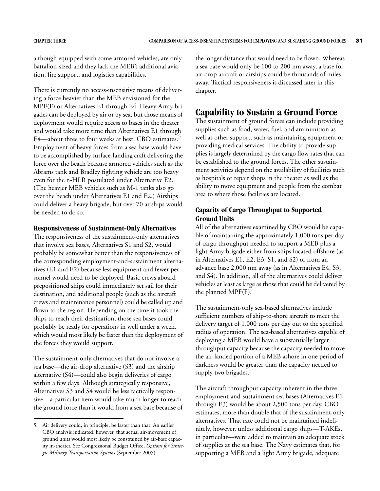although equipped with some armored vehicles, are only battalion-sized and they lack the MEB's additional aviation, fire support, and logistics capabilities.

There is currently no access-insensitive means of delivering a force heavier than the MEB envisioned for the MPF(F) or Alternatives E1 through E4. Heavy Army brigades can be deployed by air or by sea, but those means of deployment would require access to bases in the theater and would take more time than Alternatives E1 through E4—about three to four weeks at best, CBO estimates.<sup>5</sup> Employment of heavy forces from a sea base would have to be accomplished by surface-landing craft delivering the force over the beach because armored vehicles such as the Abrams tank and Bradley fighting vehicle are too heavy even for the n-HLR postulated under Alternative E2. (The heavier MEB vehicles such as M-1 tanks also go over the beach under Alternatives E1 and E2.) Airships could deliver a heavy brigade, but over 70 airships would be needed to do so.

#### **Responsiveness of Sustainment-Only Alternatives**

The responsiveness of the sustainment-only alternatives that involve sea bases, Alternatives S1 and S2, would probably be somewhat better than the responsiveness of the corresponding employment-and-sustainment alternatives (E1 and E2) because less equipment and fewer personnel would need to be deployed. Basic crews aboard prepositioned ships could immediately set sail for their destination, and additional people (such as the aircraft crews and maintenance personnel) could be called up and flown to the region. Depending on the time it took the ships to reach their destination, those sea bases could probably be ready for operations in well under a week, which would most likely be faster than the deployment of the forces they would support.

The sustainment-only alternatives that do not involve a sea base—the air-drop alternative (S3) and the airship alternative (S4)—could also begin deliveries of cargo within a few days. Although strategically responsive, Alternatives S3 and S4 would be less tactically responsive—a particular item would take much longer to reach the ground force than it would from a sea base because of the longer distance that would need to be flown. Whereas a sea base would only be 100 to 200 nm away, a base for air-drop aircraft or airships could be thousands of miles away. Tactical responsiveness is discussed later in this chapter.

#### <span id="page-46-0"></span>**Capability to Sustain a Ground Force**

The sustainment of ground forces can include providing supplies such as food, water, fuel, and ammunition as well as other support, such as maintaining equipment or providing medical services. The ability to provide supplies is largely determined by the cargo flow rates that can be established to the ground forces. The other sustainment activities depend on the availability of facilities such as hospitals or repair shops in the theater as well as the ability to move equipment and people from the combat area to where those facilities are located.

#### **Capacity of Cargo Throughput to Supported Ground Units**

All of the alternatives examined by CBO would be capable of maintaining the approximately 1,000 tons per day of cargo throughput needed to support a MEB plus a light Army brigade either from ships located offshore (as in Alternatives E1, E2, E3, S1, and S2) or from an advance base 2,000 nm away (as in Alternatives E4, S3, and S4). In addition, all of the alternatives could deliver vehicles at least as large as those that could be delivered by the planned MPF(F).

The sustainment-only sea-based alternatives include sufficient numbers of ship-to-shore aircraft to meet the delivery target of 1,000 tons per day out to the specified radius of operation. The sea-based alternatives capable of deploying a MEB would have a substantially larger throughput capacity because the capacity needed to move the air-landed portion of a MEB ashore in one period of darkness would be greater than the capacity needed to supply two brigades.

The aircraft throughput capacity inherent in the three employment-and-sustainment sea bases (Alternatives E1 through E3) would be about 2,500 tons per day, CBO estimates, more than double that of the sustainment-only alternatives. That rate could not be maintained indefinitely, however, unless additional cargo ships—T-AKEs, in particular—were added to maintain an adequate stock of supplies at the sea base. The Navy estimates that, for supporting a MEB and a light Army brigade, adequate

<sup>5.</sup> Air delivery could, in principle, be faster than that. An earlier CBO analysis indicated, however, that actual air-movement of ground units would most likely be constrained by air-base capacity in-theater. See Congressional Budget Office, *Options for Strategic Military Transportation Systems* (September 2005).